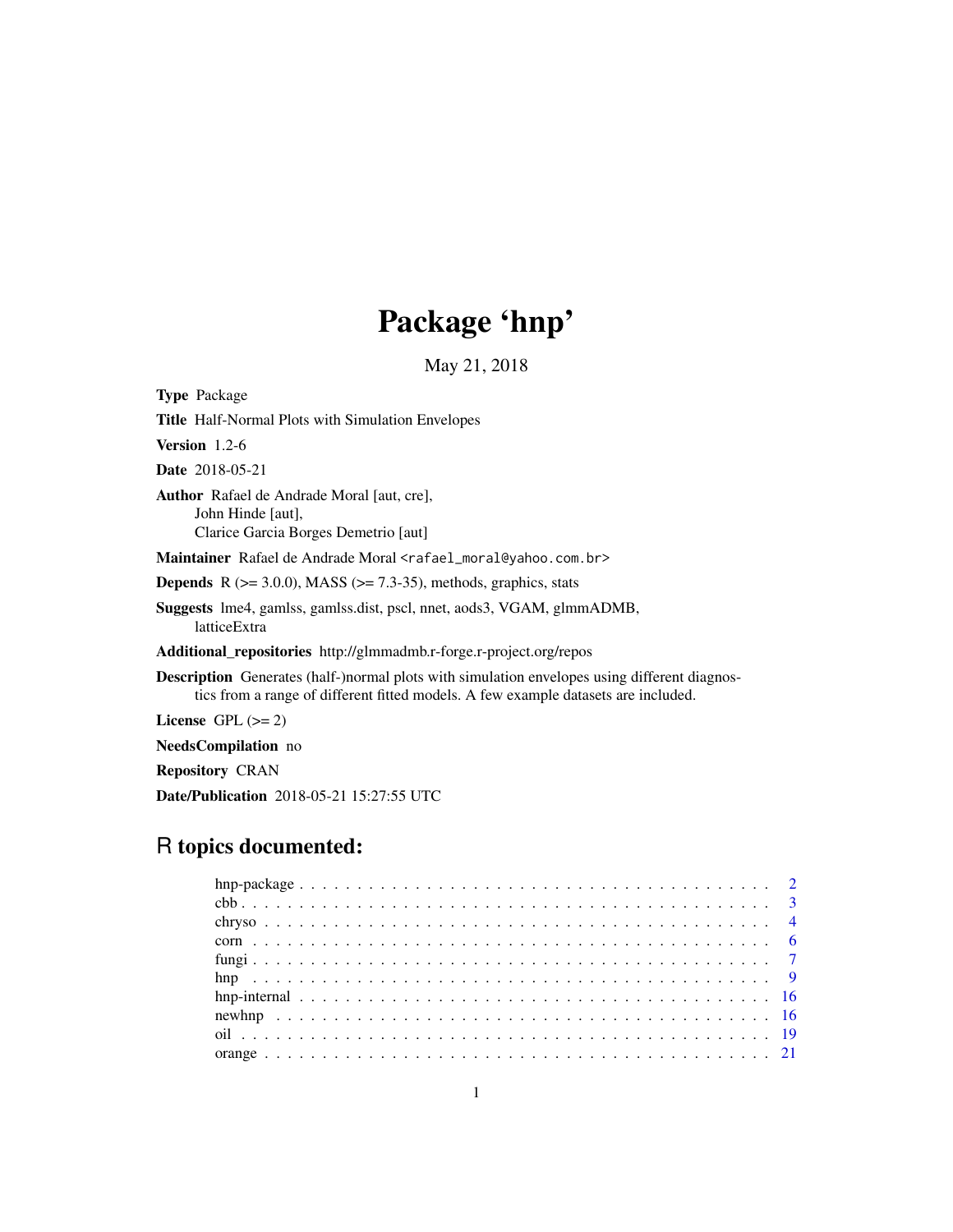## Package 'hnp'

May 21, 2018

<span id="page-0-0"></span>

| <b>Type Package</b>                                                                                                                                                                       |
|-------------------------------------------------------------------------------------------------------------------------------------------------------------------------------------------|
| <b>Title</b> Half-Normal Plots with Simulation Envelopes                                                                                                                                  |
| <b>Version</b> $1.2-6$                                                                                                                                                                    |
| <b>Date</b> 2018-05-21                                                                                                                                                                    |
| <b>Author</b> Rafael de Andrade Moral [aut, cre],<br>John Hinde [aut],<br>Clarice Garcia Borges Demetrio [aut]                                                                            |
| Maintainer Rafael de Andrade Moral <rafael_moral@yahoo.com.br></rafael_moral@yahoo.com.br>                                                                                                |
| <b>Depends</b> R $(>= 3.0.0)$ , MASS $(>= 7.3-35)$ , methods, graphics, stats                                                                                                             |
| <b>Suggests</b> lme4, gamlss, gamlss.dist, pscl, nnet, aods3, VGAM, glmmADMB,<br>latticeExtra                                                                                             |
| Additional_repositories http://glmmadmb.r-forge.r-project.org/repos                                                                                                                       |
| <b>Description</b> Generates (half-)normal plots with simulation envelopes using different diagnos-<br>tics from a range of different fitted models. A few example datasets are included. |
| License $GPL (= 2)$                                                                                                                                                                       |
| <b>NeedsCompilation</b> no                                                                                                                                                                |
|                                                                                                                                                                                           |

Repository CRAN

Date/Publication 2018-05-21 15:27:55 UTC

## R topics documented: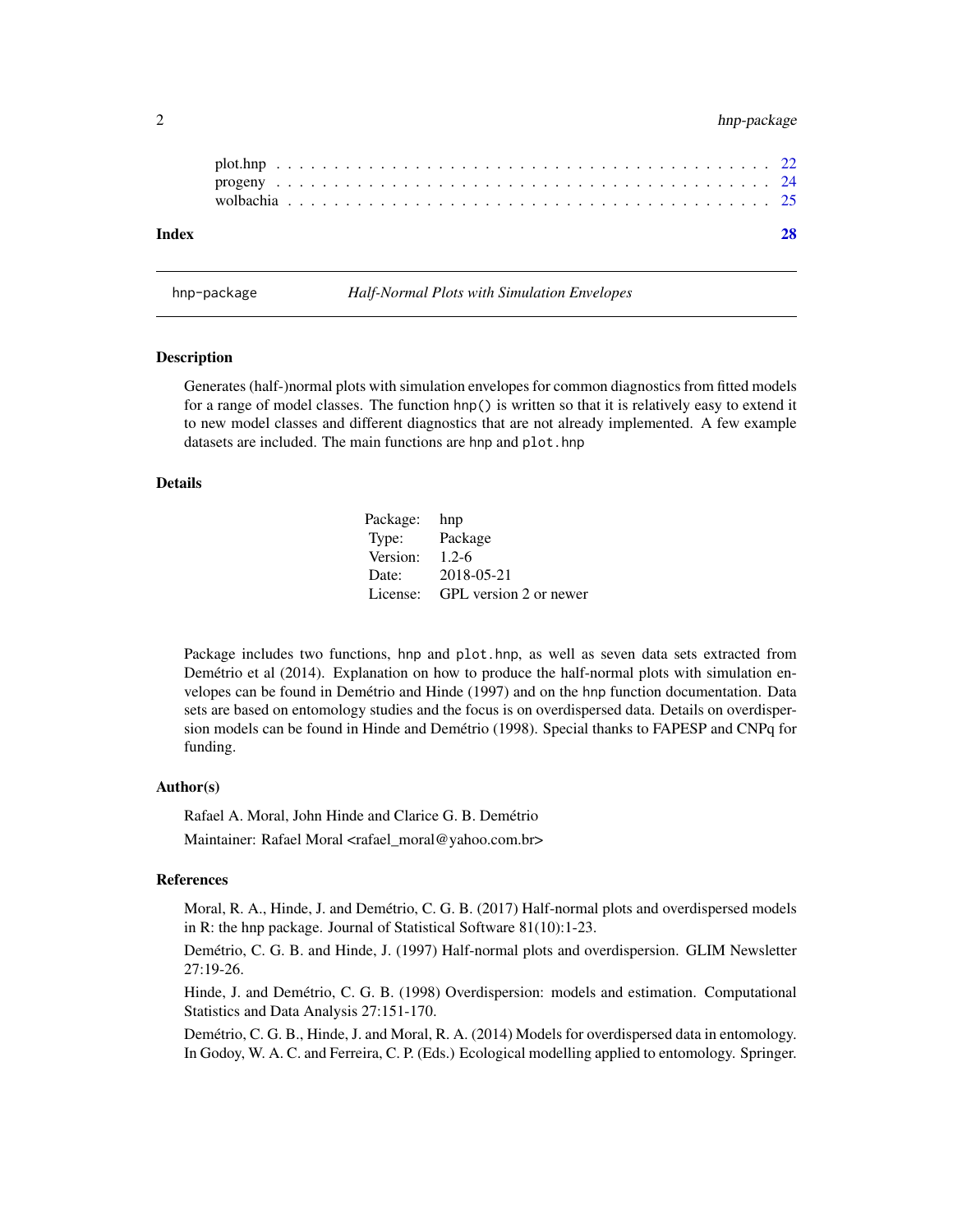### <span id="page-1-0"></span>2 hnp-package

| Index |  |  |  |  |  |  |  |  |  |  |  |  |  |  |  |  |  |  |  |  |  |  |
|-------|--|--|--|--|--|--|--|--|--|--|--|--|--|--|--|--|--|--|--|--|--|--|
|       |  |  |  |  |  |  |  |  |  |  |  |  |  |  |  |  |  |  |  |  |  |  |
|       |  |  |  |  |  |  |  |  |  |  |  |  |  |  |  |  |  |  |  |  |  |  |
|       |  |  |  |  |  |  |  |  |  |  |  |  |  |  |  |  |  |  |  |  |  |  |

hnp-package *Half-Normal Plots with Simulation Envelopes*

## Description

Generates (half-)normal plots with simulation envelopes for common diagnostics from fitted models for a range of model classes. The function hnp() is written so that it is relatively easy to extend it to new model classes and different diagnostics that are not already implemented. A few example datasets are included. The main functions are hnp and plot.hnp

#### Details

Package: hnp Type: Package Version: 1.2-6 Date: 2018-05-21 License: GPL version 2 or newer

Package includes two functions, hnp and plot.hnp, as well as seven data sets extracted from Demétrio et al (2014). Explanation on how to produce the half-normal plots with simulation envelopes can be found in Demétrio and Hinde (1997) and on the hnp function documentation. Data sets are based on entomology studies and the focus is on overdispersed data. Details on overdispersion models can be found in Hinde and Demétrio (1998). Special thanks to FAPESP and CNPq for funding.

### Author(s)

Rafael A. Moral, John Hinde and Clarice G. B. Demétrio Maintainer: Rafael Moral <rafael\_moral@yahoo.com.br>

### References

Moral, R. A., Hinde, J. and Demétrio, C. G. B. (2017) Half-normal plots and overdispersed models in R: the hnp package. Journal of Statistical Software 81(10):1-23.

Demétrio, C. G. B. and Hinde, J. (1997) Half-normal plots and overdispersion. GLIM Newsletter 27:19-26.

Hinde, J. and Demétrio, C. G. B. (1998) Overdispersion: models and estimation. Computational Statistics and Data Analysis 27:151-170.

Demétrio, C. G. B., Hinde, J. and Moral, R. A. (2014) Models for overdispersed data in entomology. In Godoy, W. A. C. and Ferreira, C. P. (Eds.) Ecological modelling applied to entomology. Springer.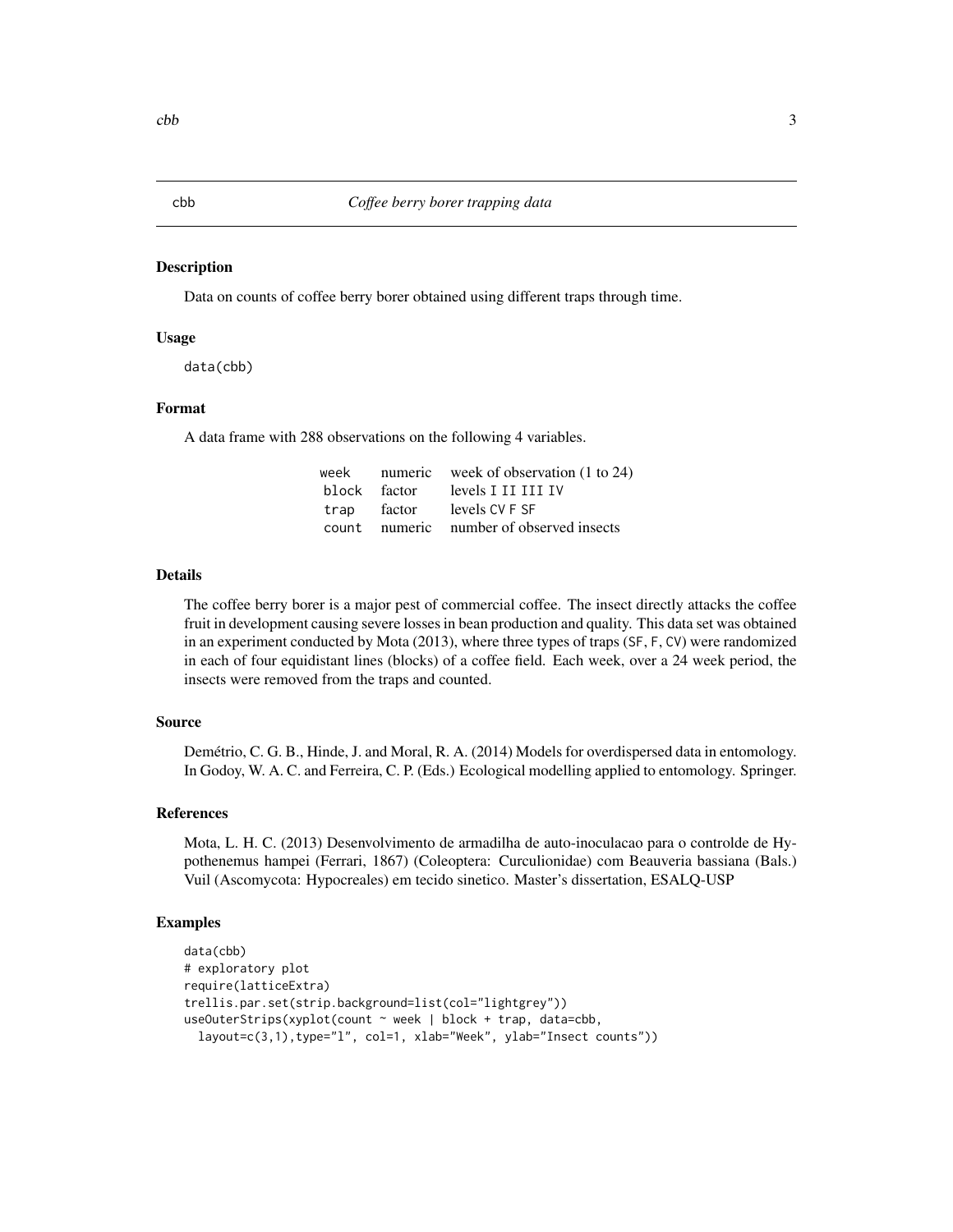### <span id="page-2-1"></span><span id="page-2-0"></span>Description

Data on counts of coffee berry borer obtained using different traps through time.

### Usage

data(cbb)

### Format

A data frame with 288 observations on the following 4 variables.

|  | week numeric week of observation $(1 \text{ to } 24)$ |
|--|-------------------------------------------------------|
|  | block factor levels I II III IV                       |
|  | trap factor levels CV F SF                            |
|  | count numeric number of observed insects              |

#### Details

The coffee berry borer is a major pest of commercial coffee. The insect directly attacks the coffee fruit in development causing severe losses in bean production and quality. This data set was obtained in an experiment conducted by Mota (2013), where three types of traps (SF, F, CV) were randomized in each of four equidistant lines (blocks) of a coffee field. Each week, over a 24 week period, the insects were removed from the traps and counted.

#### Source

Demétrio, C. G. B., Hinde, J. and Moral, R. A. (2014) Models for overdispersed data in entomology. In Godoy, W. A. C. and Ferreira, C. P. (Eds.) Ecological modelling applied to entomology. Springer.

### References

Mota, L. H. C. (2013) Desenvolvimento de armadilha de auto-inoculacao para o controlde de Hypothenemus hampei (Ferrari, 1867) (Coleoptera: Curculionidae) com Beauveria bassiana (Bals.) Vuil (Ascomycota: Hypocreales) em tecido sinetico. Master's dissertation, ESALQ-USP

```
data(cbb)
# exploratory plot
require(latticeExtra)
trellis.par.set(strip.background=list(col="lightgrey"))
useOuterStrips(xyplot(count ~ week | block + trap, data=cbb,
 layout=c(3,1),type="l", col=1, xlab="Week", ylab="Insect counts"))
```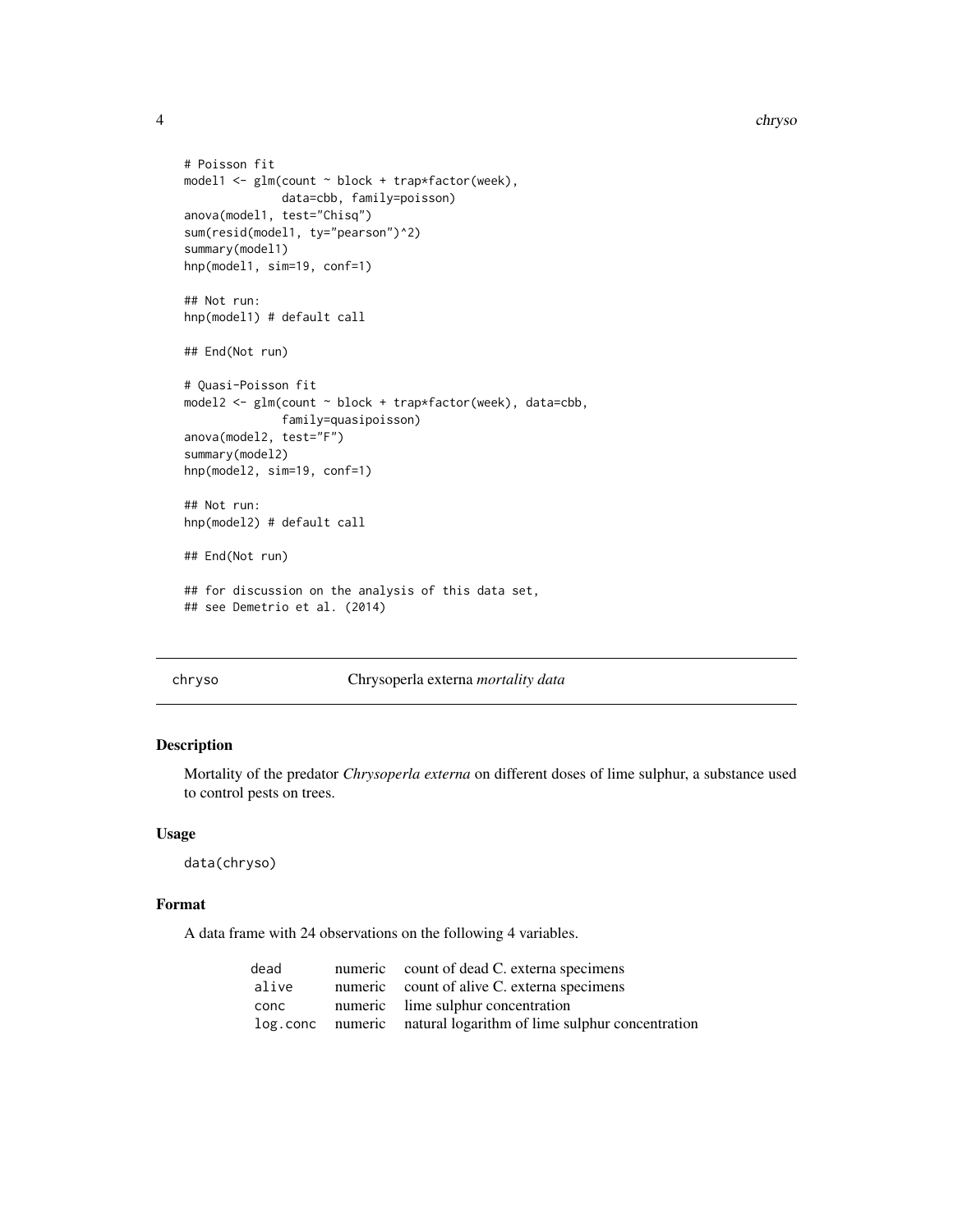<span id="page-3-0"></span>4 chrysological chrysological chrysological chrysological chrysological chrysological chrysological chrysological chrysological chrysological chrysological chrysological chrysological chrysological chrysological chrysologi

```
# Poisson fit
model1 <- glm(count ~ block + trap*factor(week),
              data=cbb, family=poisson)
anova(model1, test="Chisq")
sum(resid(model1, ty="pearson")^2)
summary(model1)
hnp(model1, sim=19, conf=1)
## Not run:
hnp(model1) # default call
## End(Not run)
# Quasi-Poisson fit
model2 <- glm(count ~ block + trap*factor(week), data=cbb,
              family=quasipoisson)
anova(model2, test="F")
summary(model2)
hnp(model2, sim=19, conf=1)
## Not run:
hnp(model2) # default call
## End(Not run)
## for discussion on the analysis of this data set,
## see Demetrio et al. (2014)
```
#### chryso Chrysoperla externa *mortality data*

### Description

Mortality of the predator *Chrysoperla externa* on different doses of lime sulphur, a substance used to control pests on trees.

### Usage

data(chryso)

### Format

A data frame with 24 observations on the following 4 variables.

| dead  | numeric count of dead C. externa specimens                       |
|-------|------------------------------------------------------------------|
| alive | numeric count of alive C. externa specimens                      |
| conc  | numeric lime sulphur concentration                               |
|       | log.conc numeric natural logarithm of lime sulphur concentration |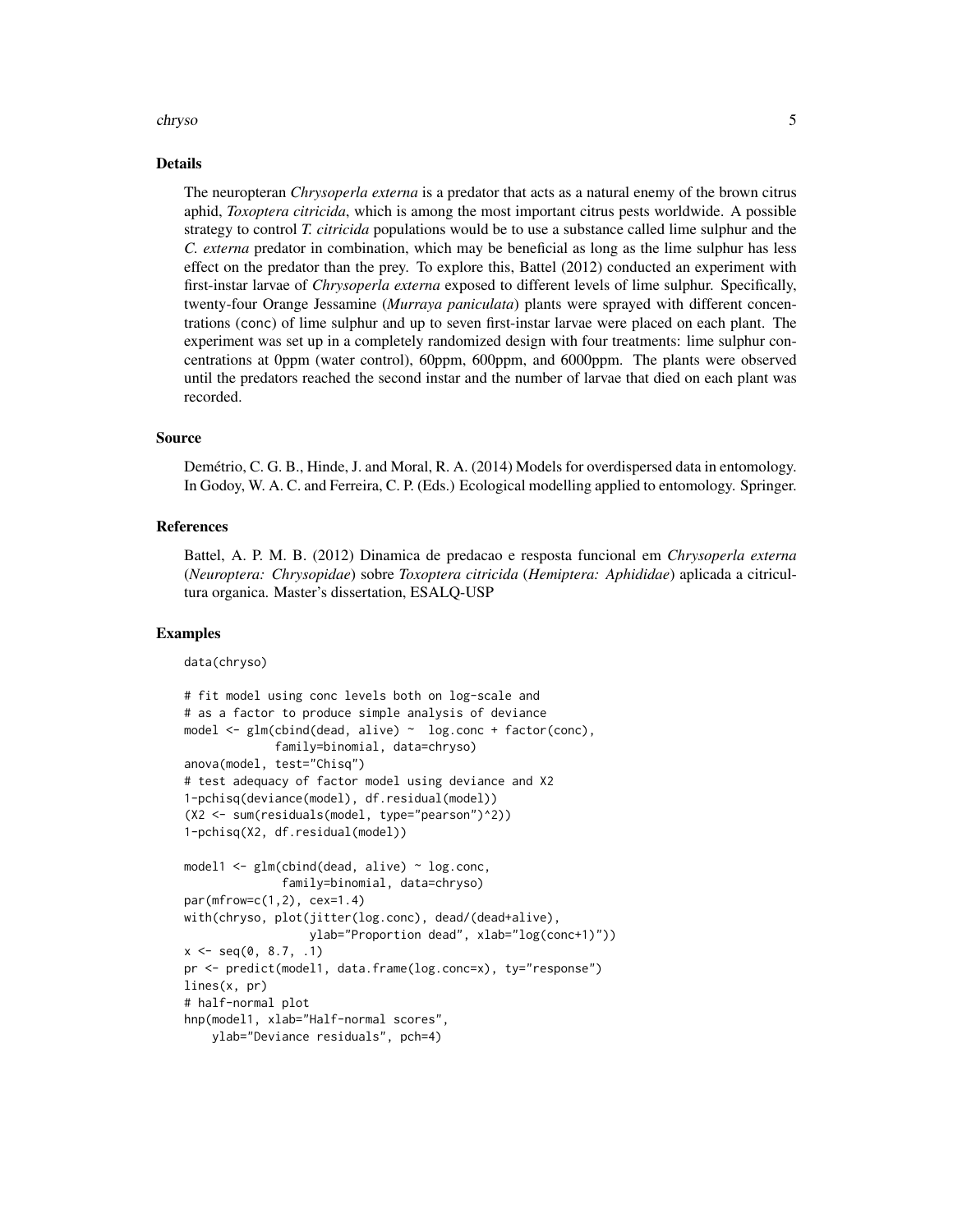#### chryso 5

### Details

The neuropteran *Chrysoperla externa* is a predator that acts as a natural enemy of the brown citrus aphid, *Toxoptera citricida*, which is among the most important citrus pests worldwide. A possible strategy to control *T. citricida* populations would be to use a substance called lime sulphur and the *C. externa* predator in combination, which may be beneficial as long as the lime sulphur has less effect on the predator than the prey. To explore this, Battel (2012) conducted an experiment with first-instar larvae of *Chrysoperla externa* exposed to different levels of lime sulphur. Specifically, twenty-four Orange Jessamine (*Murraya paniculata*) plants were sprayed with different concentrations (conc) of lime sulphur and up to seven first-instar larvae were placed on each plant. The experiment was set up in a completely randomized design with four treatments: lime sulphur concentrations at 0ppm (water control), 60ppm, 600ppm, and 6000ppm. The plants were observed until the predators reached the second instar and the number of larvae that died on each plant was recorded.

### Source

Demétrio, C. G. B., Hinde, J. and Moral, R. A. (2014) Models for overdispersed data in entomology. In Godoy, W. A. C. and Ferreira, C. P. (Eds.) Ecological modelling applied to entomology. Springer.

### References

Battel, A. P. M. B. (2012) Dinamica de predacao e resposta funcional em *Chrysoperla externa* (*Neuroptera: Chrysopidae*) sobre *Toxoptera citricida* (*Hemiptera: Aphididae*) aplicada a citricultura organica. Master's dissertation, ESALQ-USP

### Examples

data(chryso)

```
# fit model using conc levels both on log-scale and
# as a factor to produce simple analysis of deviance
model <- glm(cbind(dead, alive) ~ log.conc + factor(conc),
             family=binomial, data=chryso)
anova(model, test="Chisq")
# test adequacy of factor model using deviance and X2
1-pchisq(deviance(model), df.residual(model))
(X2 <- sum(residuals(model, type="pearson")^2))
1-pchisq(X2, df.residual(model))
model1 <- glm(cbind(dead, alive) ~ log.conc,
              family=binomial, data=chryso)
par(mfrow=c(1,2), cex=1.4)
with(chryso, plot(jitter(log.conc), dead/(dead+alive),
                  ylab="Proportion dead", xlab="log(conc+1)"))
x \le - seq(0, 8.7, .1)
pr <- predict(model1, data.frame(log.conc=x), ty="response")
lines(x, pr)
# half-normal plot
hnp(model1, xlab="Half-normal scores",
    ylab="Deviance residuals", pch=4)
```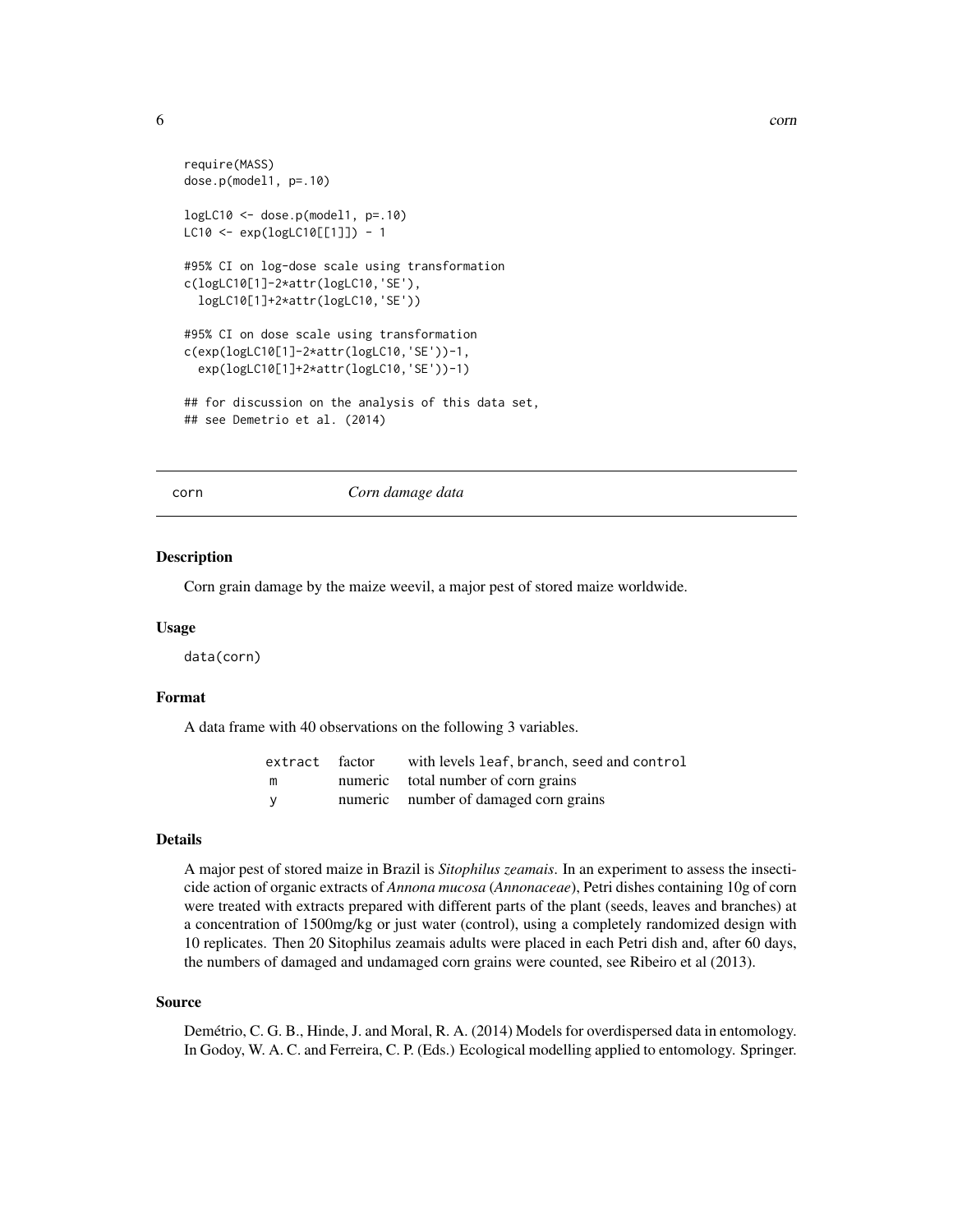```
require(MASS)
dose.p(model1, p=.10)
logLC10 <- dose.p(model1, p=.10)
LC10 <- exp(logLC10[[1]]) - 1
#95% CI on log-dose scale using transformation
c(logLC10[1]-2*attr(logLC10,'SE'),
  logLC10[1]+2*attr(logLC10,'SE'))
#95% CI on dose scale using transformation
c(exp(logLC10[1]-2*attr(logLC10,'SE'))-1,
  exp(logLC10[1]+2*attr(logLC10,'SE'))-1)
## for discussion on the analysis of this data set,
## see Demetrio et al. (2014)
```
#### corn *Corn damage data*

#### Description

Corn grain damage by the maize weevil, a major pest of stored maize worldwide.

#### Usage

data(corn)

### Format

A data frame with 40 observations on the following 3 variables.

|        | extract factor with levels leaf, branch, seed and control |
|--------|-----------------------------------------------------------|
| m      | numeric total number of corn grains                       |
| $\vee$ | numeric number of damaged corn grains                     |

### Details

A major pest of stored maize in Brazil is *Sitophilus zeamais*. In an experiment to assess the insecticide action of organic extracts of *Annona mucosa* (*Annonaceae*), Petri dishes containing 10g of corn were treated with extracts prepared with different parts of the plant (seeds, leaves and branches) at a concentration of 1500mg/kg or just water (control), using a completely randomized design with 10 replicates. Then 20 Sitophilus zeamais adults were placed in each Petri dish and, after 60 days, the numbers of damaged and undamaged corn grains were counted, see Ribeiro et al (2013).

### Source

Demétrio, C. G. B., Hinde, J. and Moral, R. A. (2014) Models for overdispersed data in entomology. In Godoy, W. A. C. and Ferreira, C. P. (Eds.) Ecological modelling applied to entomology. Springer.

<span id="page-5-0"></span>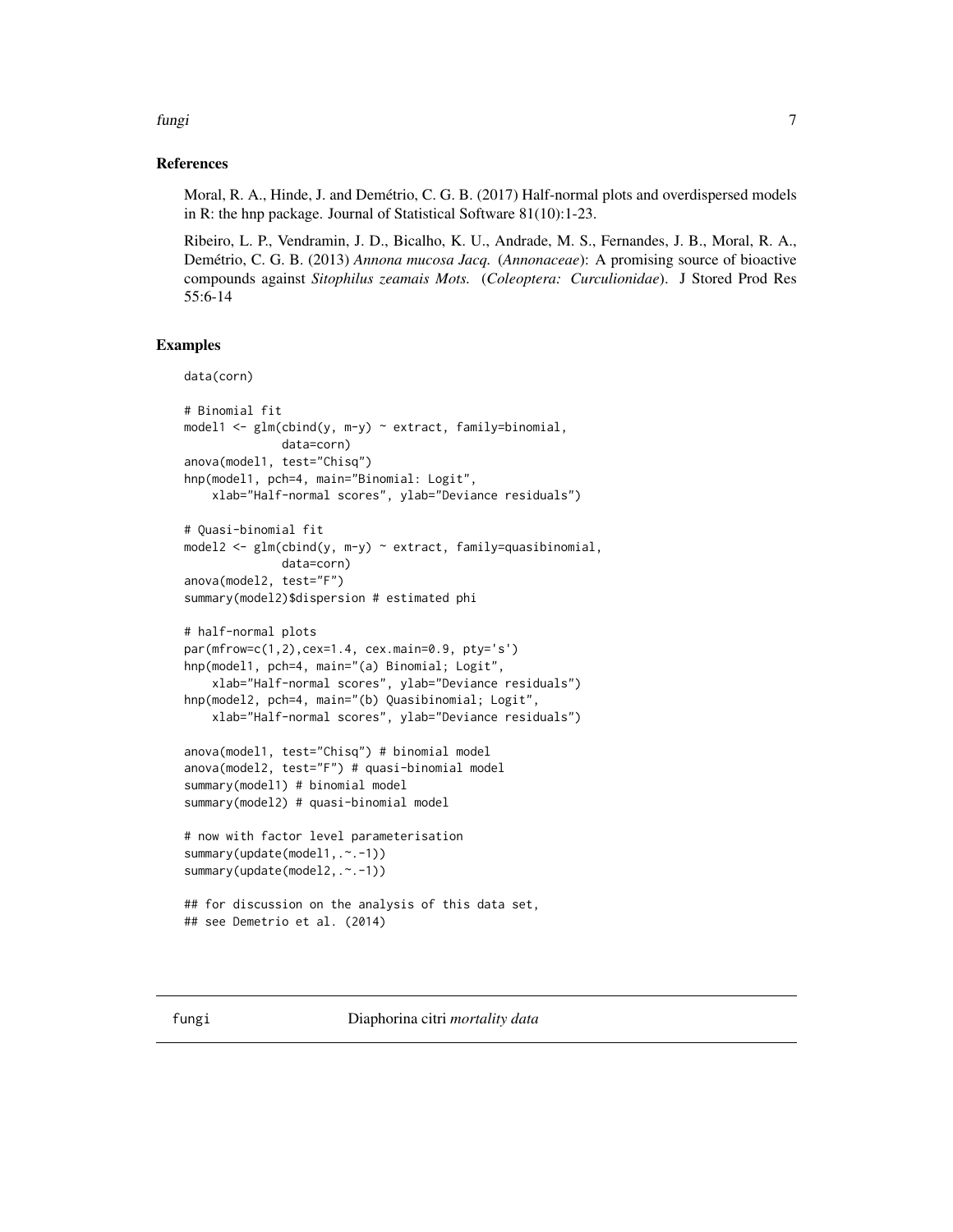### <span id="page-6-0"></span>fungi 7

### References

Moral, R. A., Hinde, J. and Demétrio, C. G. B. (2017) Half-normal plots and overdispersed models in R: the hnp package. Journal of Statistical Software 81(10):1-23.

Ribeiro, L. P., Vendramin, J. D., Bicalho, K. U., Andrade, M. S., Fernandes, J. B., Moral, R. A., Demétrio, C. G. B. (2013) *Annona mucosa Jacq.* (*Annonaceae*): A promising source of bioactive compounds against *Sitophilus zeamais Mots.* (*Coleoptera: Curculionidae*). J Stored Prod Res 55:6-14

```
data(corn)
# Binomial fit
model1 <- glm(cbind(y, m-y) ~ extract, family=binomial,
             data=corn)
anova(model1, test="Chisq")
hnp(model1, pch=4, main="Binomial: Logit",
   xlab="Half-normal scores", ylab="Deviance residuals")
# Quasi-binomial fit
model2 <- glm(clny, m-y) ~ extract, family=quasibinomial,
              data=corn)
anova(model2, test="F")
summary(model2)$dispersion # estimated phi
# half-normal plots
par(mfrow=c(1,2),cex=1.4, cex.main=0.9, pty='s')
hnp(model1, pch=4, main="(a) Binomial; Logit",
    xlab="Half-normal scores", ylab="Deviance residuals")
hnp(model2, pch=4, main="(b) Quasibinomial; Logit",
    xlab="Half-normal scores", ylab="Deviance residuals")
anova(model1, test="Chisq") # binomial model
anova(model2, test="F") # quasi-binomial model
summary(model1) # binomial model
summary(model2) # quasi-binomial model
# now with factor level parameterisation
summary(update(model1,.~.-1))
summary(update(model2,.~.-1))
## for discussion on the analysis of this data set,
## see Demetrio et al. (2014)
```
<span id="page-6-1"></span>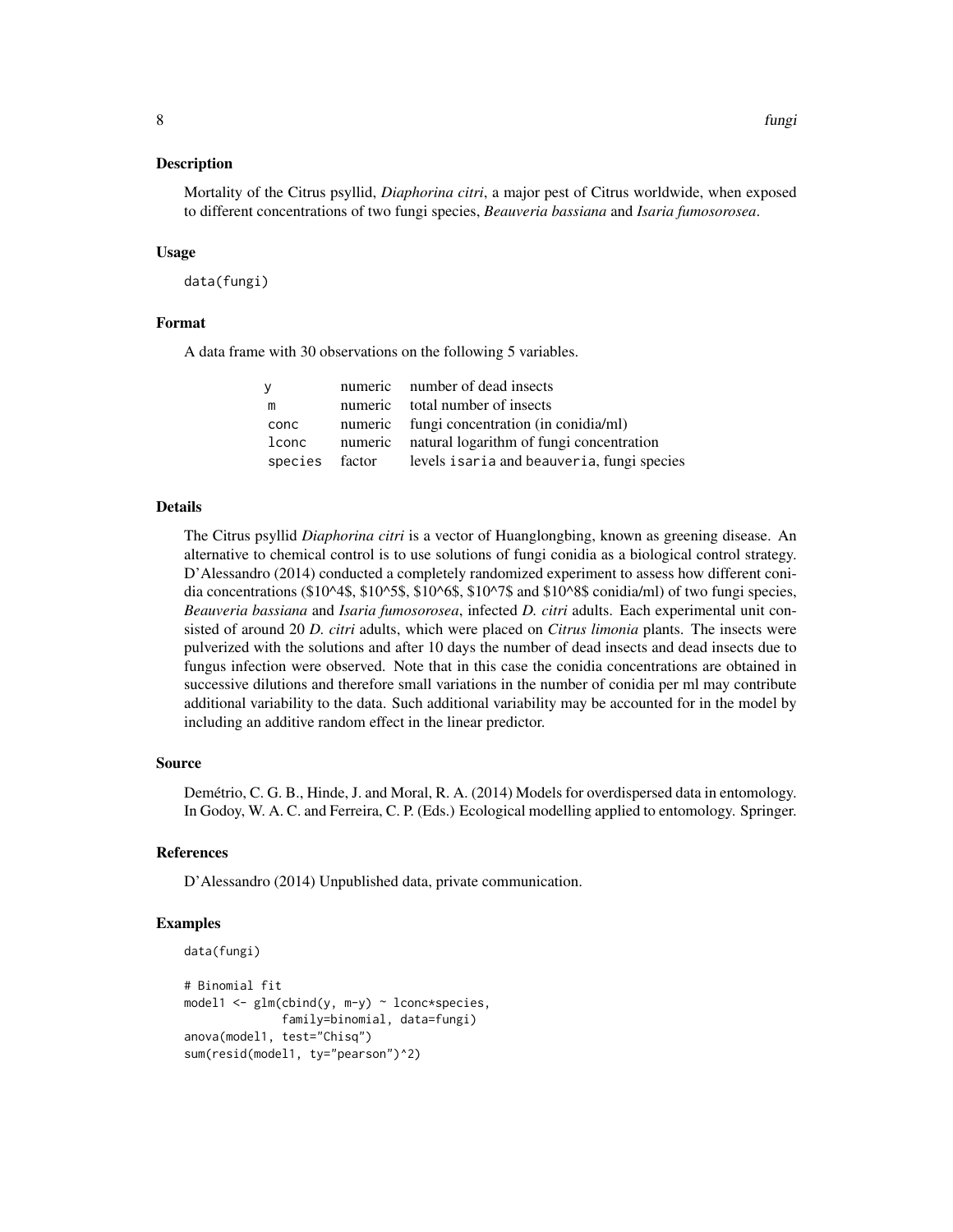### Description

Mortality of the Citrus psyllid, *Diaphorina citri*, a major pest of Citrus worldwide, when exposed to different concentrations of two fungi species, *Beauveria bassiana* and *Isaria fumosorosea*.

#### Usage

data(fungi)

### Format

A data frame with 30 observations on the following 5 variables.

| <b>V</b> |                | numeric number of dead insects                   |
|----------|----------------|--------------------------------------------------|
| m        |                | numeric total number of insects                  |
| conc     |                | numeric fungi concentration (in conidia/ml)      |
| lconc    |                | numeric natural logarithm of fungi concentration |
|          | species factor | levels isaria and beauveria, fungi species       |

### Details

The Citrus psyllid *Diaphorina citri* is a vector of Huanglongbing, known as greening disease. An alternative to chemical control is to use solutions of fungi conidia as a biological control strategy. D'Alessandro (2014) conducted a completely randomized experiment to assess how different conidia concentrations (\$10^4\$, \$10^5\$, \$10^6\$, \$10^7\$ and \$10^8\$ conidia/ml) of two fungi species, *Beauveria bassiana* and *Isaria fumosorosea*, infected *D. citri* adults. Each experimental unit consisted of around 20 *D. citri* adults, which were placed on *Citrus limonia* plants. The insects were pulverized with the solutions and after 10 days the number of dead insects and dead insects due to fungus infection were observed. Note that in this case the conidia concentrations are obtained in successive dilutions and therefore small variations in the number of conidia per ml may contribute additional variability to the data. Such additional variability may be accounted for in the model by including an additive random effect in the linear predictor.

### Source

Demétrio, C. G. B., Hinde, J. and Moral, R. A. (2014) Models for overdispersed data in entomology. In Godoy, W. A. C. and Ferreira, C. P. (Eds.) Ecological modelling applied to entomology. Springer.

#### References

D'Alessandro (2014) Unpublished data, private communication.

```
data(fungi)
# Binomial fit
model1 <- glm(cln(dy, m-y) ~ lconc*species,
              family=binomial, data=fungi)
anova(model1, test="Chisq")
sum(resid(model1, ty="pearson")^2)
```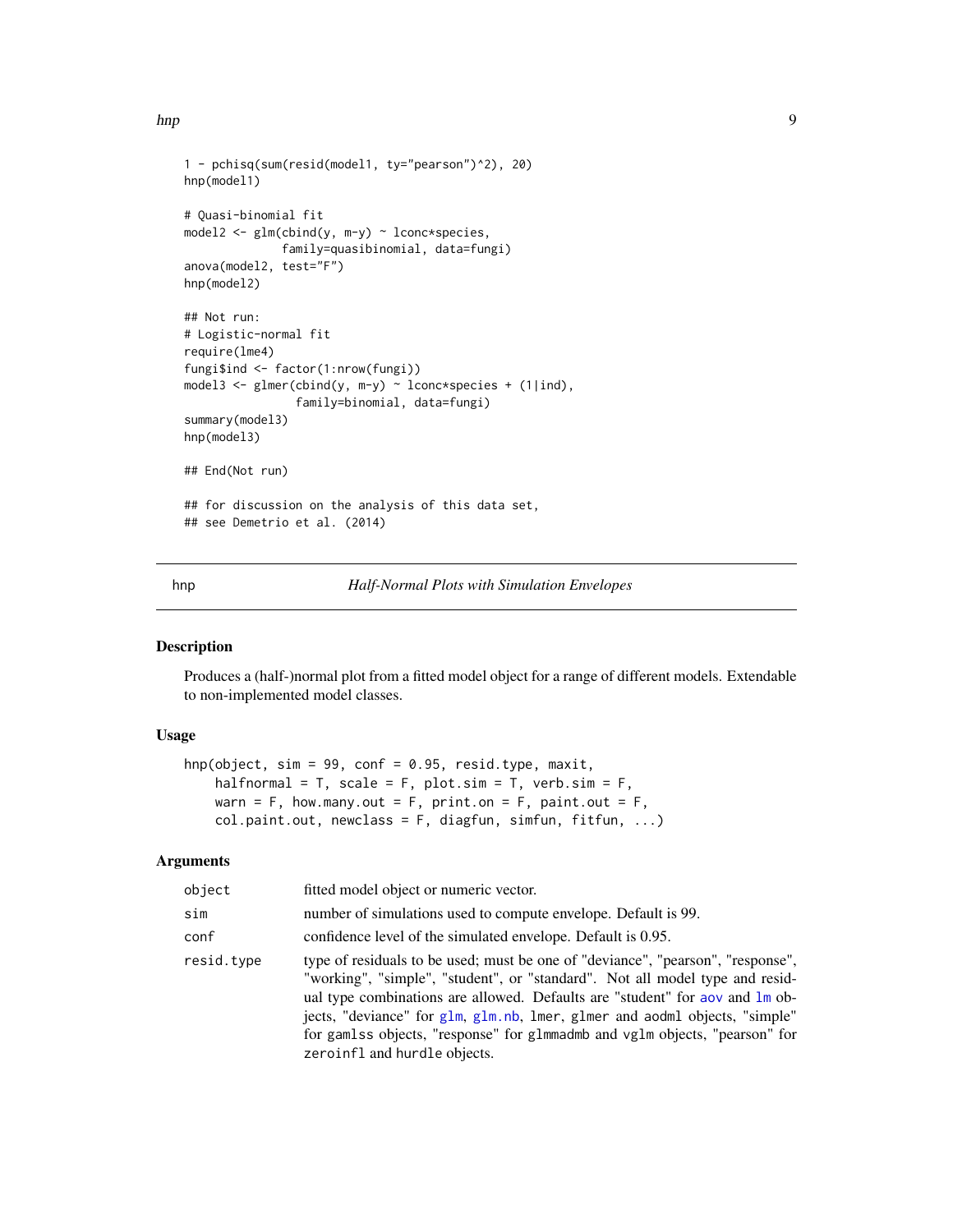<span id="page-8-0"></span>hnp 99

```
1 - pchisq(sum(resid(model1, ty="pearson")^2), 20)
hnp(model1)
# Quasi-binomial fit
model2 \leq glm(cbind(y, m-y) \sim lconc*species,
              family=quasibinomial, data=fungi)
anova(model2, test="F")
hnp(model2)
## Not run:
# Logistic-normal fit
require(lme4)
fungi$ind <- factor(1:nrow(fungi))
model3 <- glmer(cbind(y, m-y) ~ lconc*species + (1|ind),
                family=binomial, data=fungi)
summary(model3)
hnp(model3)
## End(Not run)
## for discussion on the analysis of this data set,
## see Demetrio et al. (2014)
```
<span id="page-8-1"></span>hnp *Half-Normal Plots with Simulation Envelopes*

### Description

Produces a (half-)normal plot from a fitted model object for a range of different models. Extendable to non-implemented model classes.

### Usage

```
hnp(object, sim = 99, conf = 0.95, resid.type, maxit,
    halfnormal = T, scale = F, plot.sim = T, verb.sim = F,
    warn = F, how.many.out = F, print.on = F, paint.out = F,
    col.paint.out, newclass = F, diagfun, simfun, fitfun, ...)
```
### Arguments

| object     | fitted model object or numeric vector.                                                                                                                                                                                                                                                                                                                                                                                                       |
|------------|----------------------------------------------------------------------------------------------------------------------------------------------------------------------------------------------------------------------------------------------------------------------------------------------------------------------------------------------------------------------------------------------------------------------------------------------|
| sim        | number of simulations used to compute envelope. Default is 99.                                                                                                                                                                                                                                                                                                                                                                               |
| conf       | confidence level of the simulated envelope. Default is 0.95.                                                                                                                                                                                                                                                                                                                                                                                 |
| resid.type | type of residuals to be used; must be one of "deviance", "pearson", "response",<br>"working", "simple", "student", or "standard". Not all model type and resid-<br>ual type combinations are allowed. Defaults are "student" for aov and lm ob-<br>jects, "deviance" for glm, glm.nb, lmer, glmer and aodml objects, "simple"<br>for gamlss objects, "response" for glmmadmb and vglm objects, "pearson" for<br>zeroinfl and hurdle objects. |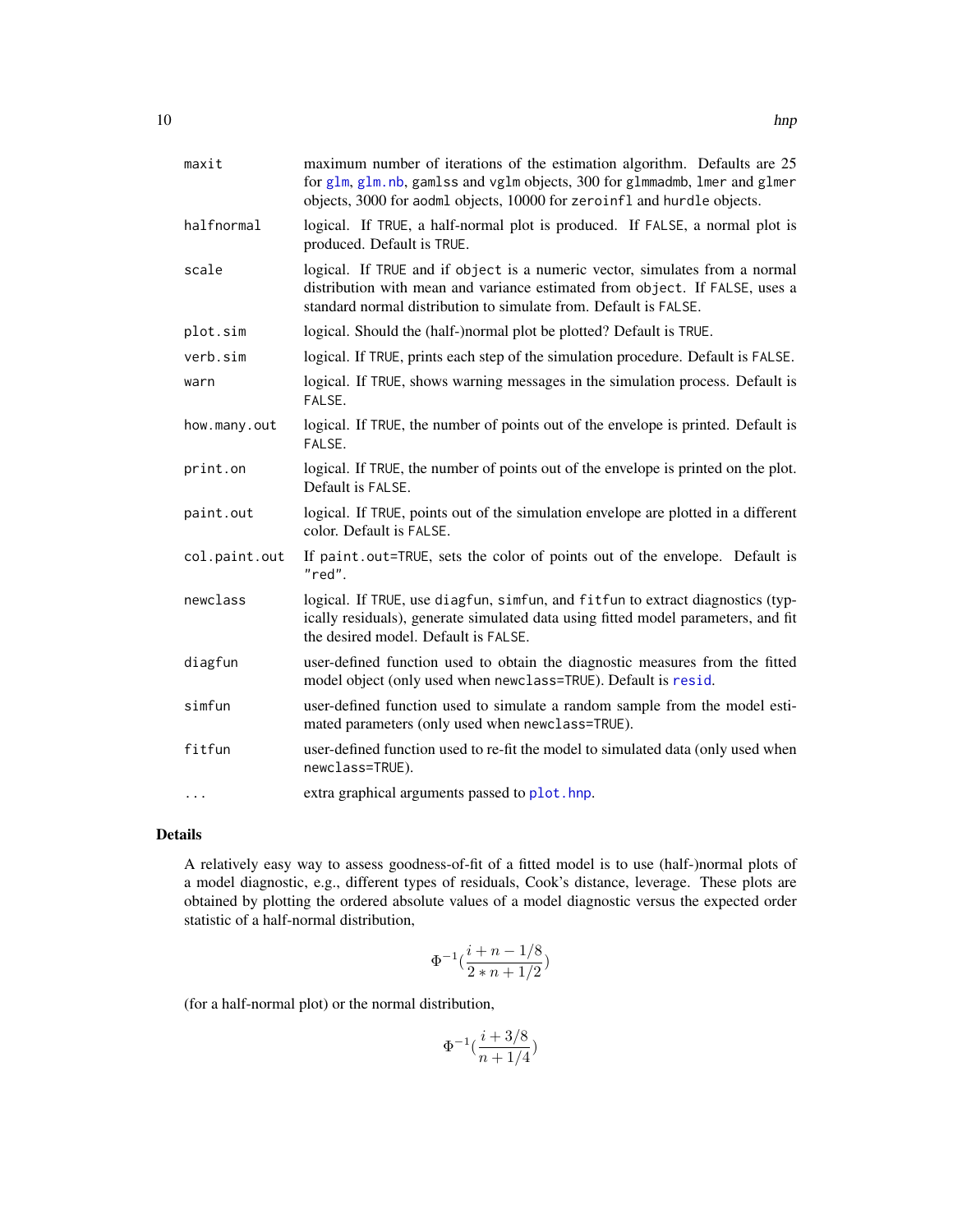<span id="page-9-0"></span>

| maxit         | maximum number of iterations of the estimation algorithm. Defaults are 25<br>for glm, glm.nb, gamlss and vglm objects, 300 for glmmadmb, lmer and glmer<br>objects, 3000 for aodml objects, 10000 for zeroinfl and hurdle objects. |
|---------------|------------------------------------------------------------------------------------------------------------------------------------------------------------------------------------------------------------------------------------|
| halfnormal    | logical. If TRUE, a half-normal plot is produced. If FALSE, a normal plot is<br>produced. Default is TRUE.                                                                                                                         |
| scale         | logical. If TRUE and if object is a numeric vector, simulates from a normal<br>distribution with mean and variance estimated from object. If FALSE, uses a<br>standard normal distribution to simulate from. Default is FALSE.     |
| plot.sim      | logical. Should the (half-)normal plot be plotted? Default is TRUE.                                                                                                                                                                |
| verb.sim      | logical. If TRUE, prints each step of the simulation procedure. Default is FALSE.                                                                                                                                                  |
| warn          | logical. If TRUE, shows warning messages in the simulation process. Default is<br>FALSE.                                                                                                                                           |
| how.many.out  | logical. If TRUE, the number of points out of the envelope is printed. Default is<br>FALSE.                                                                                                                                        |
| print.on      | logical. If TRUE, the number of points out of the envelope is printed on the plot.<br>Default is FALSE.                                                                                                                            |
| paint.out     | logical. If TRUE, points out of the simulation envelope are plotted in a different<br>color. Default is FALSE.                                                                                                                     |
| col.paint.out | If paint out=TRUE, sets the color of points out of the envelope. Default is<br>"red".                                                                                                                                              |
| newclass      | logical. If TRUE, use diagfun, simfun, and fitfun to extract diagnostics (typ-<br>ically residuals), generate simulated data using fitted model parameters, and fit<br>the desired model. Default is FALSE.                        |
| diagfun       | user-defined function used to obtain the diagnostic measures from the fitted<br>model object (only used when newclass=TRUE). Default is resid.                                                                                     |
| simfun        | user-defined function used to simulate a random sample from the model esti-<br>mated parameters (only used when newclass=TRUE).                                                                                                    |
| fitfun        | user-defined function used to re-fit the model to simulated data (only used when<br>newclass=TRUE).                                                                                                                                |
| $\cdots$      | extra graphical arguments passed to plot. hnp.                                                                                                                                                                                     |

### Details

A relatively easy way to assess goodness-of-fit of a fitted model is to use (half-)normal plots of a model diagnostic, e.g., different types of residuals, Cook's distance, leverage. These plots are obtained by plotting the ordered absolute values of a model diagnostic versus the expected order statistic of a half-normal distribution,

$$
\Phi^{-1}(\frac{i+n-1/8}{2*n+1/2})
$$

(for a half-normal plot) or the normal distribution,

$$
\Phi^{-1}(\frac{i+3/8}{n+1/4})
$$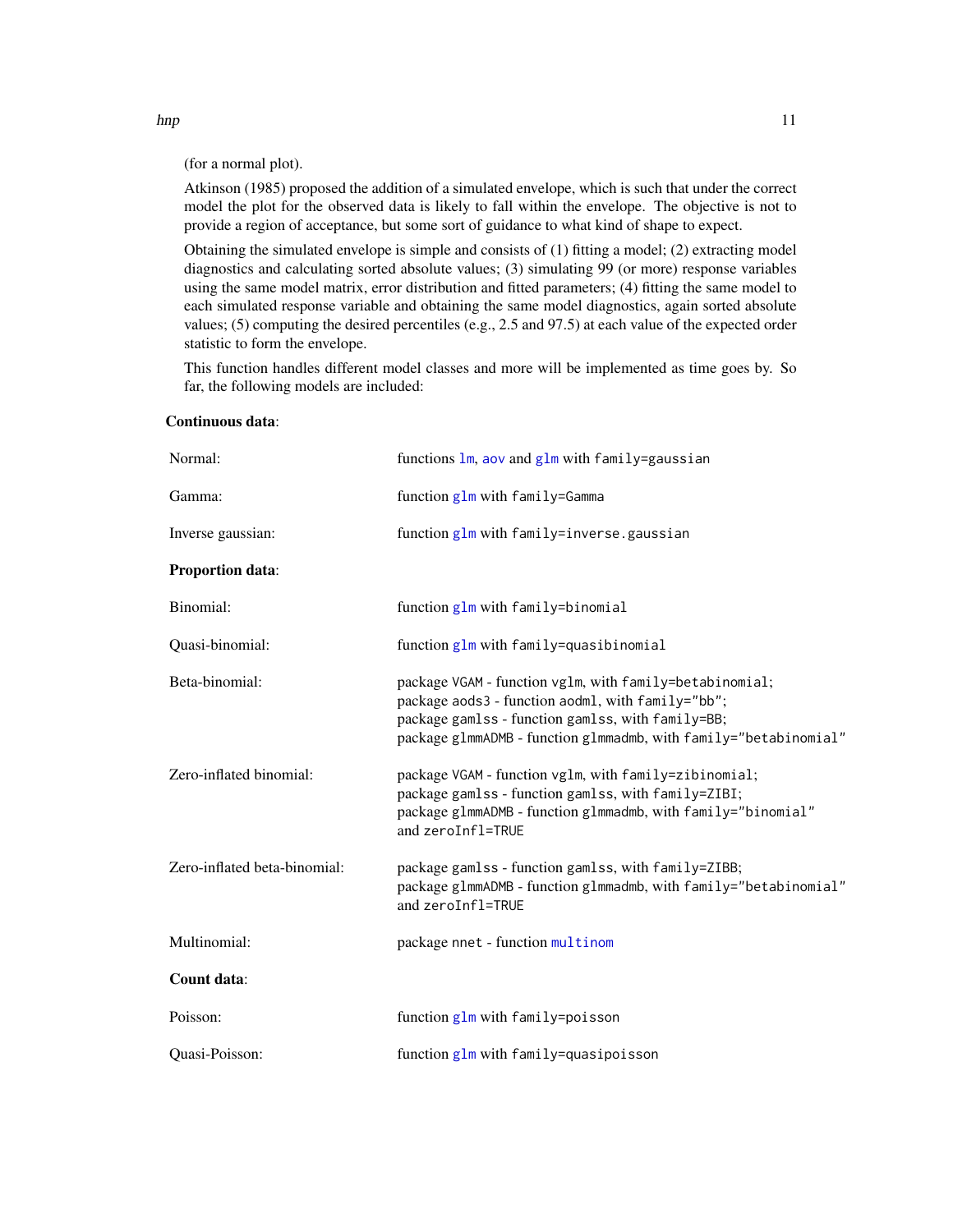(for a normal plot).

Atkinson (1985) proposed the addition of a simulated envelope, which is such that under the correct model the plot for the observed data is likely to fall within the envelope. The objective is not to provide a region of acceptance, but some sort of guidance to what kind of shape to expect.

Obtaining the simulated envelope is simple and consists of (1) fitting a model; (2) extracting model diagnostics and calculating sorted absolute values; (3) simulating 99 (or more) response variables using the same model matrix, error distribution and fitted parameters; (4) fitting the same model to each simulated response variable and obtaining the same model diagnostics, again sorted absolute values; (5) computing the desired percentiles (e.g., 2.5 and 97.5) at each value of the expected order statistic to form the envelope.

This function handles different model classes and more will be implemented as time goes by. So far, the following models are included:

| Normal:                      | functions $lm$ , aov and $glm$ with family=gaussian                                                                                                                                                                                   |
|------------------------------|---------------------------------------------------------------------------------------------------------------------------------------------------------------------------------------------------------------------------------------|
| Gamma:                       | function glm with family=Gamma                                                                                                                                                                                                        |
| Inverse gaussian:            | function glm with family=inverse.gaussian                                                                                                                                                                                             |
| Proportion data:             |                                                                                                                                                                                                                                       |
| Binomial:                    | function glm with family=binomial                                                                                                                                                                                                     |
| Quasi-binomial:              | function glm with family=quasibinomial                                                                                                                                                                                                |
| Beta-binomial:               | package VGAM - function vglm, with family=betabinomial;<br>package aods3 - function aodml, with family="bb";<br>package gamlss - function gamlss, with family=BB;<br>package glmmADMB - function glmmadmb, with family="betabinomial" |
| Zero-inflated binomial:      | package VGAM - function vglm, with family=zibinomial;<br>package gamlss - function gamlss, with family=ZIBI;<br>package glmmADMB - function glmmadmb, with family="binomial"<br>and zeroInfl=TRUE                                     |
| Zero-inflated beta-binomial: | package gamlss - function gamlss, with family=ZIBB;<br>package glmmADMB - function glmmadmb, with family="betabinomial"<br>and zeroInfl=TRUE                                                                                          |
| Multinomial:                 | package nnet - function multinom                                                                                                                                                                                                      |
| Count data:                  |                                                                                                                                                                                                                                       |
| Poisson:                     | function $glm$ with family=poisson                                                                                                                                                                                                    |
| Quasi-Poisson:               | function glm with family=quasipoisson                                                                                                                                                                                                 |

#### Continuous data:

<span id="page-10-0"></span>hnp 11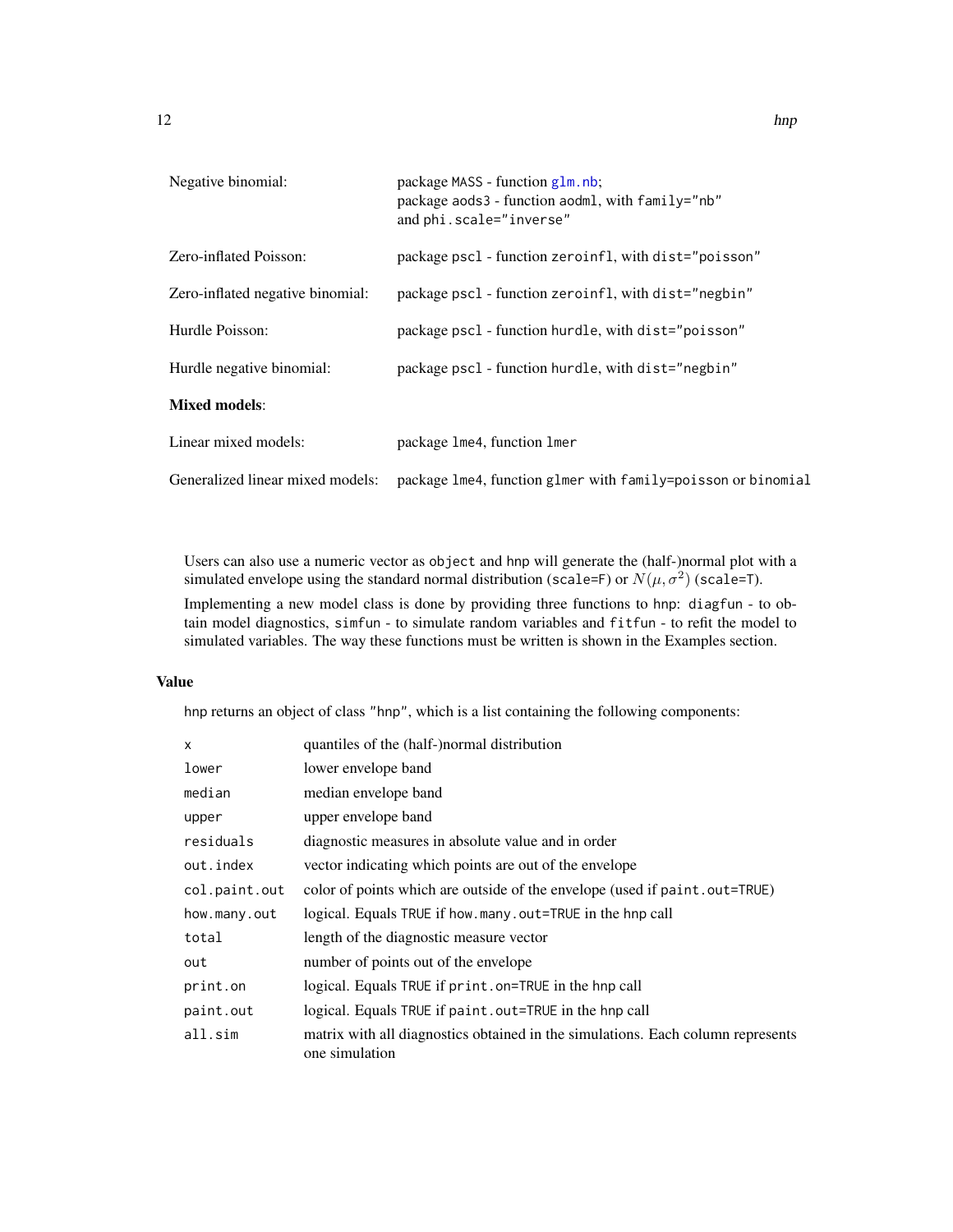<span id="page-11-0"></span>

| Negative binomial:               | package MASS - function g1m.nb;<br>package aods3 - function aodml, with $family="nb"$<br>and phi.scale="inverse"                                                                                                                                                                                                                                                                                                                                                                           |
|----------------------------------|--------------------------------------------------------------------------------------------------------------------------------------------------------------------------------------------------------------------------------------------------------------------------------------------------------------------------------------------------------------------------------------------------------------------------------------------------------------------------------------------|
| Zero-inflated Poisson:           | package pscl - function zeroinfl, with dist="poisson"                                                                                                                                                                                                                                                                                                                                                                                                                                      |
| Zero-inflated negative binomial: | package pscl - function zeroinfl, with dist="negbin"                                                                                                                                                                                                                                                                                                                                                                                                                                       |
| Hurdle Poisson:                  | package pscl - function hurdle, with dist="poisson"                                                                                                                                                                                                                                                                                                                                                                                                                                        |
| Hurdle negative binomial:        | package pscl - function hurdle, with dist="negbin"                                                                                                                                                                                                                                                                                                                                                                                                                                         |
| <b>Mixed models:</b>             |                                                                                                                                                                                                                                                                                                                                                                                                                                                                                            |
|                                  | $\blacksquare$ $\blacksquare$ $\blacksquare$ $\blacksquare$ $\blacksquare$ $\blacksquare$ $\blacksquare$ $\blacksquare$ $\blacksquare$ $\blacksquare$ $\blacksquare$ $\blacksquare$ $\blacksquare$ $\blacksquare$ $\blacksquare$ $\blacksquare$ $\blacksquare$ $\blacksquare$ $\blacksquare$ $\blacksquare$ $\blacksquare$ $\blacksquare$ $\blacksquare$ $\blacksquare$ $\blacksquare$ $\blacksquare$ $\blacksquare$ $\blacksquare$ $\blacksquare$ $\blacksquare$ $\blacksquare$ $\blacks$ |

| Linear mixed models: | package 1me4, function 1mer                                                                   |
|----------------------|-----------------------------------------------------------------------------------------------|
|                      | Generalized linear mixed models: package 1me4, function g1mer with family=poisson or binomial |

Users can also use a numeric vector as object and hnp will generate the (half-)normal plot with a simulated envelope using the standard normal distribution (scale=F) or  $N(\mu, \sigma^2)$  (scale=T).

Implementing a new model class is done by providing three functions to hnp: diagfun - to obtain model diagnostics, simfun - to simulate random variables and fitfun - to refit the model to simulated variables. The way these functions must be written is shown in the Examples section.

### Value

hnp returns an object of class "hnp", which is a list containing the following components:

| $\mathsf{x}$  | quantiles of the (half-)normal distribution                                                       |  |
|---------------|---------------------------------------------------------------------------------------------------|--|
| lower         | lower envelope band                                                                               |  |
| median        | median envelope band                                                                              |  |
| upper         | upper envelope band                                                                               |  |
| residuals     | diagnostic measures in absolute value and in order                                                |  |
| out.index     | vector indicating which points are out of the envelope                                            |  |
| col.paint.out | color of points which are outside of the envelope (used if paint out=TRUE)                        |  |
| how.many.out  | logical. Equals TRUE if how many out=TRUE in the hnp call                                         |  |
| total         | length of the diagnostic measure vector                                                           |  |
| out           | number of points out of the envelope                                                              |  |
| print.on      | logical. Equals TRUE if print.on=TRUE in the hnp call                                             |  |
| paint.out     | logical. Equals TRUE if paint . out=TRUE in the hnp call                                          |  |
| all.sim       | matrix with all diagnostics obtained in the simulations. Each column represents<br>one simulation |  |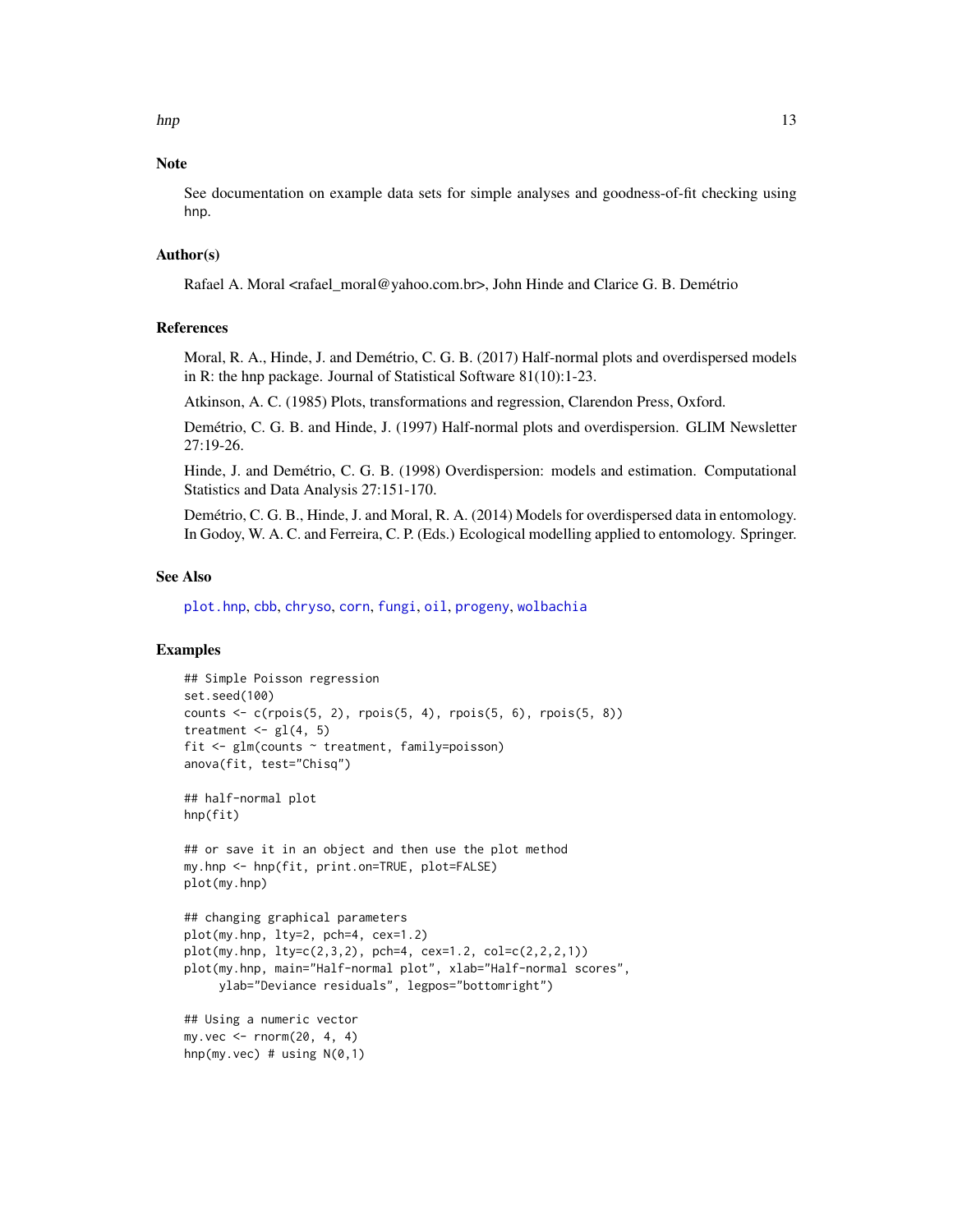<span id="page-12-0"></span>hnp 13

### Note

See documentation on example data sets for simple analyses and goodness-of-fit checking using hnp.

### Author(s)

Rafael A. Moral <rafael\_moral@yahoo.com.br>, John Hinde and Clarice G. B. Demétrio

#### References

Moral, R. A., Hinde, J. and Demétrio, C. G. B. (2017) Half-normal plots and overdispersed models in R: the hnp package. Journal of Statistical Software 81(10):1-23.

Atkinson, A. C. (1985) Plots, transformations and regression, Clarendon Press, Oxford.

Demétrio, C. G. B. and Hinde, J. (1997) Half-normal plots and overdispersion. GLIM Newsletter 27:19-26.

Hinde, J. and Demétrio, C. G. B. (1998) Overdispersion: models and estimation. Computational Statistics and Data Analysis 27:151-170.

Demétrio, C. G. B., Hinde, J. and Moral, R. A. (2014) Models for overdispersed data in entomology. In Godoy, W. A. C. and Ferreira, C. P. (Eds.) Ecological modelling applied to entomology. Springer.

### See Also

[plot.hnp](#page-21-1), [cbb](#page-2-1), [chryso](#page-3-1), [corn](#page-5-1), [fungi](#page-6-1), [oil](#page-18-1), [progeny](#page-23-1), [wolbachia](#page-24-1)

```
## Simple Poisson regression
set.seed(100)
counts <- c(rpois(5, 2), rpois(5, 4), rpois(5, 6), rpois(5, 8))
treatment \leq gl(4, 5)
fit <- glm(counts ~ treatment, family=poisson)
anova(fit, test="Chisq")
## half-normal plot
hnp(fit)
## or save it in an object and then use the plot method
my.hnp <- hnp(fit, print.on=TRUE, plot=FALSE)
plot(my.hnp)
## changing graphical parameters
plot(my.hnp, lty=2, pch=4, cex=1.2)
plot(my.hnp, lty=c(2,3,2), pch=4, cex=1.2, col=c(2,2,2,1))plot(my.hnp, main="Half-normal plot", xlab="Half-normal scores",
     ylab="Deviance residuals", legpos="bottomright")
## Using a numeric vector
my.vec <- rnorm(20, 4, 4)
hnp(my.vec) # using N(\emptyset,1)
```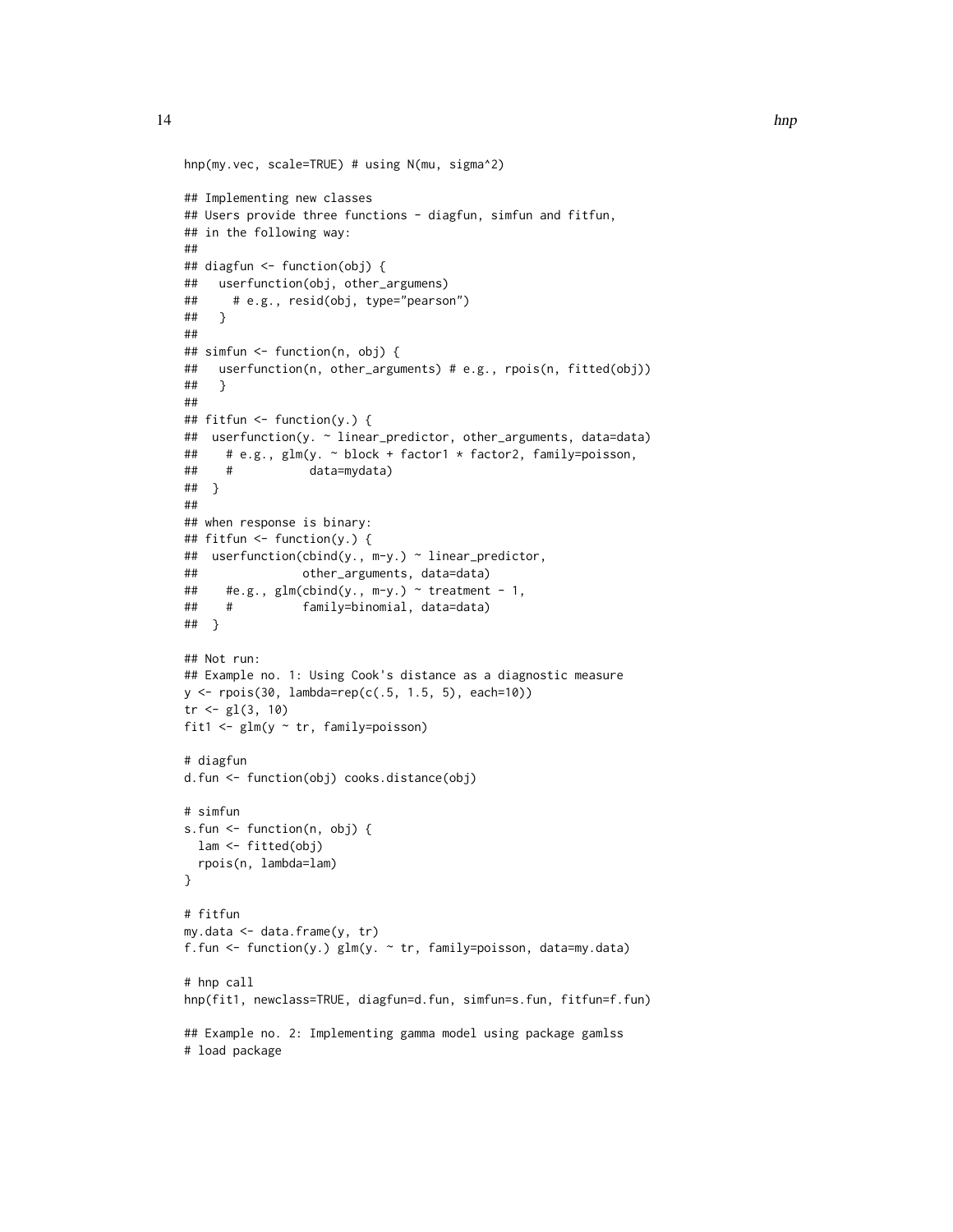```
hnp(my.vec, scale=TRUE) # using N(mu, sigma^2)
## Implementing new classes
## Users provide three functions - diagfun, simfun and fitfun,
## in the following way:
##
## diagfun <- function(obj) {
## userfunction(obj, other_argumens)
## # e.g., resid(obj, type="pearson")
## }
##
## simfun <- function(n, obj) {
## userfunction(n, other_arguments) # e.g., rpois(n, fitted(obj))
## }
##
## fitfun <- function(y.) {
## userfunction(y. ~ linear_predictor, other_arguments, data=data)
## # e.g., glm(y. ~ block + factor1 * factor2, family=poisson,
## # data=mydata)
## }
##
## when response is binary:
## fitfun <- function(y.) {
## userfunction(cbind(y., m-y.) ~ linear_predictor,
## other_arguments, data=data)
## #e.g., glm(cbind(y., m-y.) \sim treatment - 1,## # family=binomial, data=data)
## }
## Not run:
## Example no. 1: Using Cook's distance as a diagnostic measure
y <- rpois(30, lambda=rep(c(.5, 1.5, 5), each=10))
tr < -gl(3, 10)fit1 <- glm(y ~ tr, family=poisson)
# diagfun
d.fun <- function(obj) cooks.distance(obj)
# simfun
s.fun <- function(n, obj) {
 lam <- fitted(obj)
 rpois(n, lambda=lam)
}
# fitfun
my.data <- data.frame(y, tr)
f.fun <- function(y.) glm(y. ~ tr, family=poisson, data=my.data)
# hnp call
hnp(fit1, newclass=TRUE, diagfun=d.fun, simfun=s.fun, fitfun=f.fun)
## Example no. 2: Implementing gamma model using package gamlss
# load package
```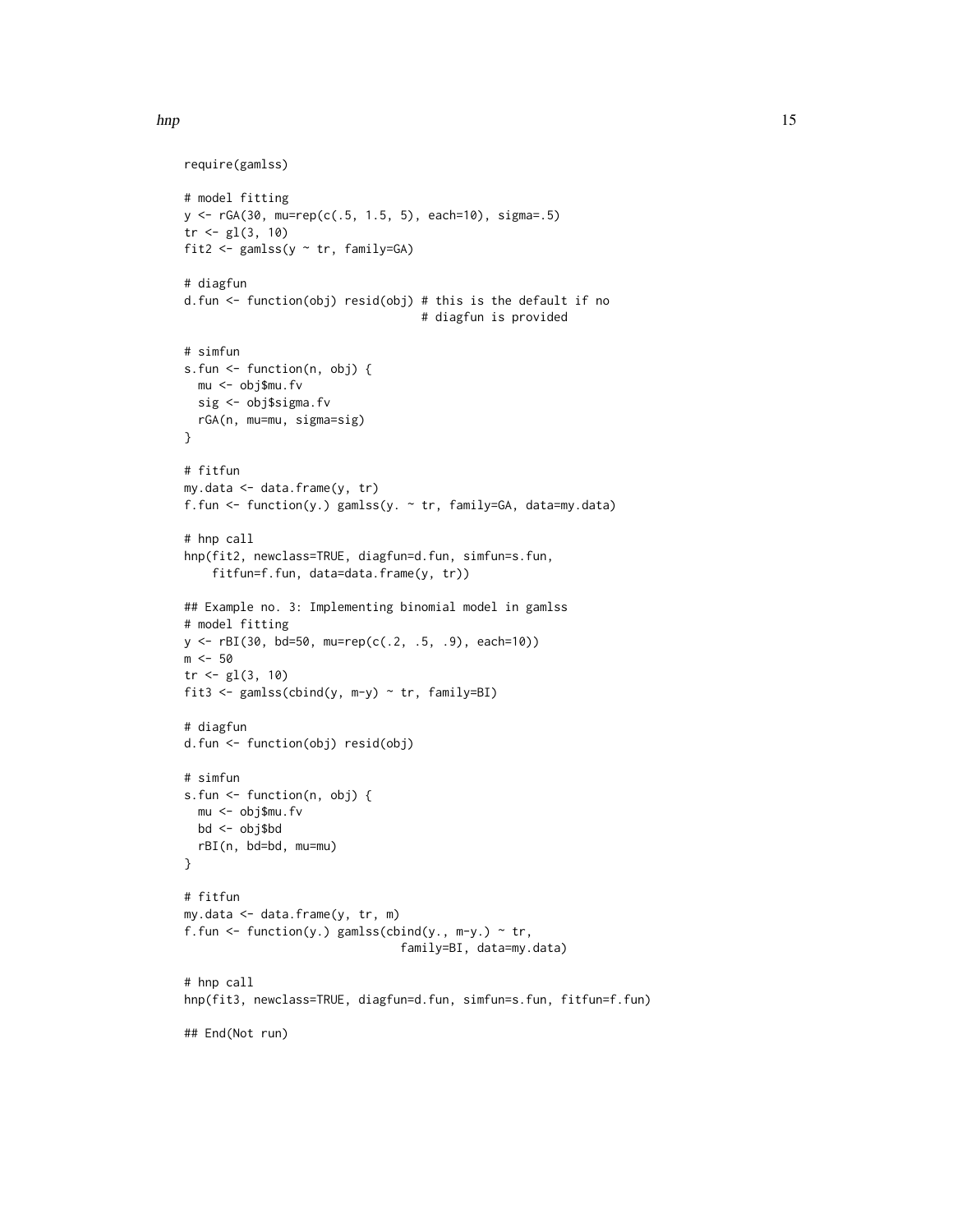```
require(gamlss)
# model fitting
y <- rGA(30, mu=rep(c(.5, 1.5, 5), each=10), sigma=.5)
tr < -gl(3, 10)fit2 <- gamlss(y \sim tr, family=GA)
# diagfun
d.fun <- function(obj) resid(obj) # this is the default if no
                                  # diagfun is provided
# simfun
s.fun <- function(n, obj) {
 mu <- obj$mu.fv
 sig <- obj$sigma.fv
 rGA(n, mu=mu, sigma=sig)
}
# fitfun
my.data <- data.frame(y, tr)
f.fun <- function(y.) gamlss(y. ~ tr, family=GA, data=my.data)
# hnp call
hnp(fit2, newclass=TRUE, diagfun=d.fun, simfun=s.fun,
   fitfun=f.fun, data=data.frame(y, tr))
## Example no. 3: Implementing binomial model in gamlss
# model fitting
y <- rBI(30, bd=50, mu=rep(c(.2, .5, .9), each=10))
m < -50tr < -gl(3, 10)fit3 <- gamlss(cbind(y, m-y) ~ tr, family=BI)
# diagfun
d.fun <- function(obj) resid(obj)
# simfun
s.fun <- function(n, obj) {
  mu <- obj$mu.fv
 bd <- obj$bd
 rBI(n, bd=bd, mu=mu)
}
# fitfun
my.data <- data.frame(y, tr, m)
f.fun <- function(y.) gamlss(cbind(y., m-y.) \sim tr,
                               family=BI, data=my.data)
# hnp call
hnp(fit3, newclass=TRUE, diagfun=d.fun, simfun=s.fun, fitfun=f.fun)
## End(Not run)
```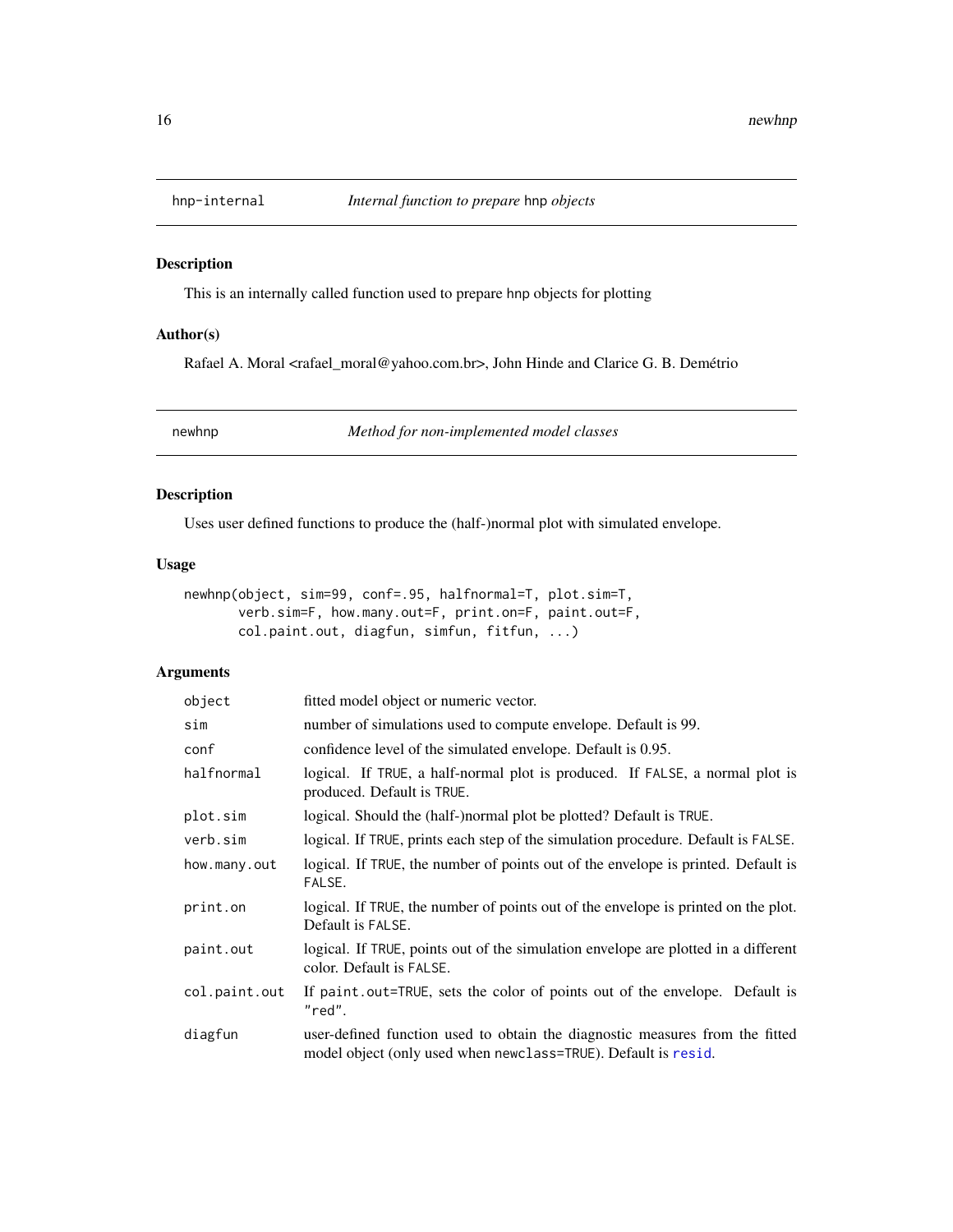<span id="page-15-0"></span>

### Description

This is an internally called function used to prepare hnp objects for plotting

### Author(s)

Rafael A. Moral <rafael\_moral@yahoo.com.br>, John Hinde and Clarice G. B. Demétrio

newhnp *Method for non-implemented model classes*

### Description

Uses user defined functions to produce the (half-)normal plot with simulated envelope.

### Usage

```
newhnp(object, sim=99, conf=.95, halfnormal=T, plot.sim=T,
      verb.sim=F, how.many.out=F, print.on=F, paint.out=F,
       col.paint.out, diagfun, simfun, fitfun, ...)
```
### Arguments

| object        | fitted model object or numeric vector.                                                                                                         |  |  |
|---------------|------------------------------------------------------------------------------------------------------------------------------------------------|--|--|
| sim           | number of simulations used to compute envelope. Default is 99.                                                                                 |  |  |
| conf          | confidence level of the simulated envelope. Default is 0.95.                                                                                   |  |  |
| halfnormal    | logical. If TRUE, a half-normal plot is produced. If FALSE, a normal plot is<br>produced. Default is TRUE.                                     |  |  |
| plot.sim      | logical. Should the (half-)normal plot be plotted? Default is TRUE.                                                                            |  |  |
| verb.sim      | logical. If TRUE, prints each step of the simulation procedure. Default is FALSE.                                                              |  |  |
| how.many.out  | logical. If TRUE, the number of points out of the envelope is printed. Default is<br>FALSE.                                                    |  |  |
| print.on      | logical. If TRUE, the number of points out of the envelope is printed on the plot.<br>Default is FALSE.                                        |  |  |
| paint.out     | logical. If TRUE, points out of the simulation envelope are plotted in a different<br>color. Default is FALSE.                                 |  |  |
| col.paint.out | If paint out=TRUE, sets the color of points out of the envelope. Default is<br>"red".                                                          |  |  |
| diagfun       | user-defined function used to obtain the diagnostic measures from the fitted<br>model object (only used when newclass=TRUE). Default is resid. |  |  |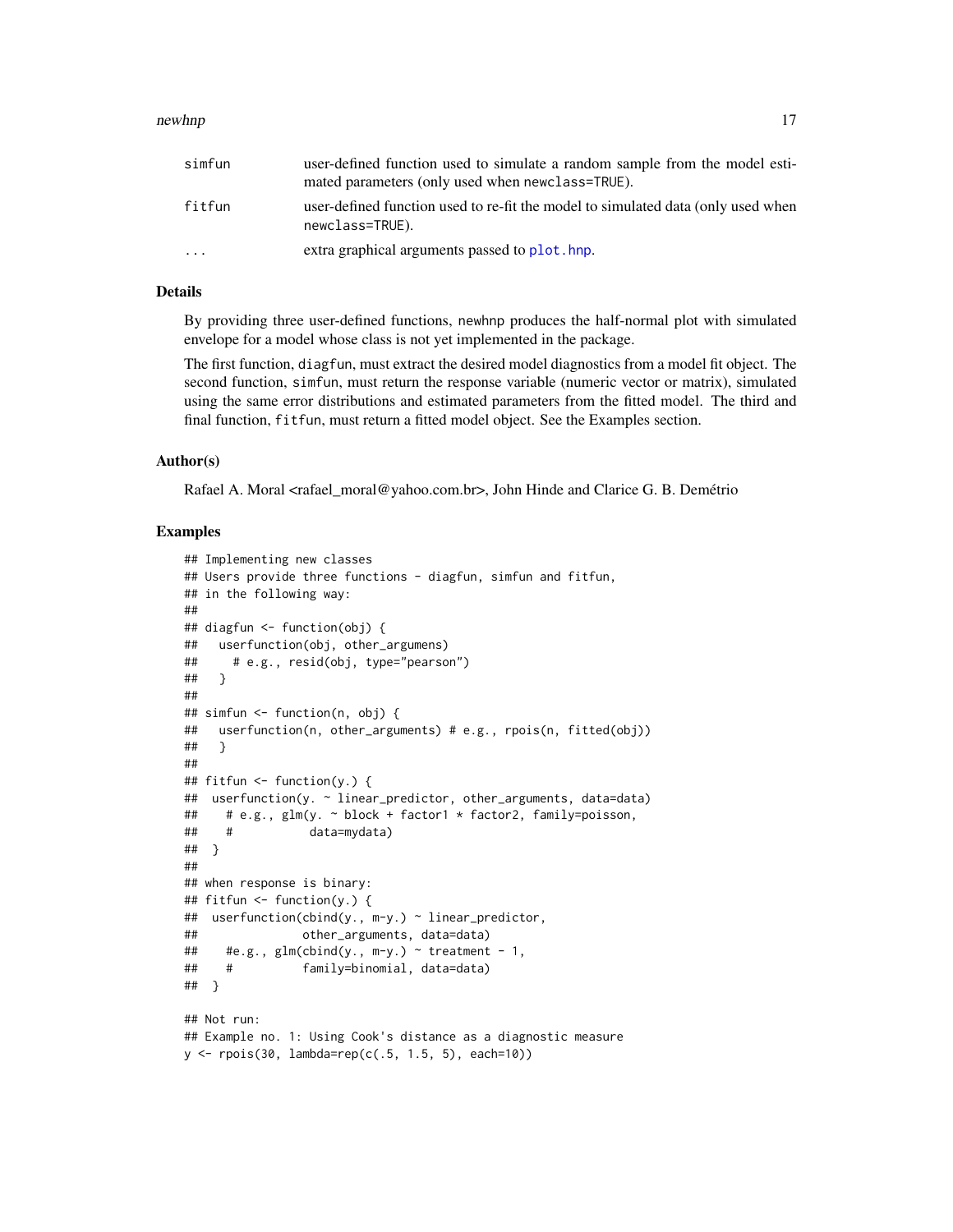#### <span id="page-16-0"></span>newhnp the state of the state of the state of the state of the state of the state of the state of the state of the state of the state of the state of the state of the state of the state of the state of the state of the sta

| simfun  | user-defined function used to simulate a random sample from the model esti-<br>mated parameters (only used when newclass=TRUE). |
|---------|---------------------------------------------------------------------------------------------------------------------------------|
| fitfun  | user-defined function used to re-fit the model to simulated data (only used when<br>newclass=TRUE).                             |
| $\cdot$ | extra graphical arguments passed to plot, hnp.                                                                                  |

### Details

By providing three user-defined functions, newhnp produces the half-normal plot with simulated envelope for a model whose class is not yet implemented in the package.

The first function, diagfun, must extract the desired model diagnostics from a model fit object. The second function, simfun, must return the response variable (numeric vector or matrix), simulated using the same error distributions and estimated parameters from the fitted model. The third and final function, fitfun, must return a fitted model object. See the Examples section.

### Author(s)

Rafael A. Moral <rafael\_moral@yahoo.com.br>, John Hinde and Clarice G. B. Demétrio

```
## Implementing new classes
## Users provide three functions - diagfun, simfun and fitfun,
## in the following way:
##
## diagfun <- function(obj) {
## userfunction(obj, other_argumens)
## # e.g., resid(obj, type="pearson")
## }
##
## simfun <- function(n, obj) {
## userfunction(n, other_arguments) # e.g., rpois(n, fitted(obj))
## }
##
## fitfun <- function(y.) {
## userfunction(y. ~ linear_predictor, other_arguments, data=data)
## # e.g., glm(y. ~ block + factor1 * factor2, family=poisson,
## # data=mydata)
## }
##
## when response is binary:
## fitfun <- function(y.) {
## userfunction(cbind(y., m-y.) ~ linear_predictor,
## other_arguments, data=data)
## #e.g., glm(clnd(y., m-y.) \sim treatment - 1,
## # family=binomial, data=data)
## }
## Not run:
## Example no. 1: Using Cook's distance as a diagnostic measure
y <- rpois(30, lambda=rep(c(.5, 1.5, 5), each=10))
```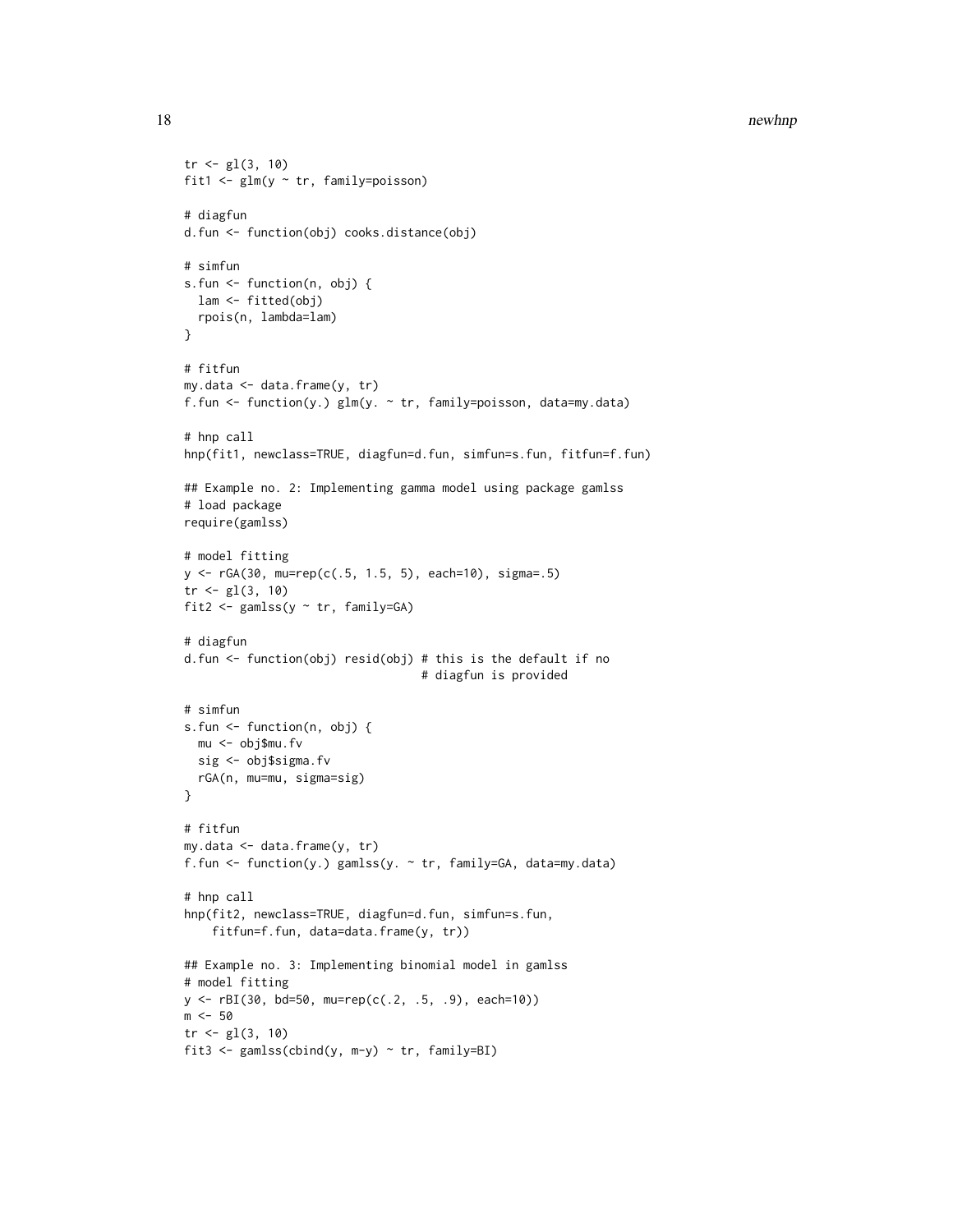```
tr < -g1(3, 10)fit1 <- glm(y ~ tr, family=poisson)
# diagfun
d.fun <- function(obj) cooks.distance(obj)
# simfun
s.fun <- function(n, obj) {
 lam <- fitted(obj)
 rpois(n, lambda=lam)
}
# fitfun
my.data <- data.frame(y, tr)
f.fun <- function(y.) glm(y. ~ tr, family=poisson, data=my.data)
# hnp call
hnp(fit1, newclass=TRUE, diagfun=d.fun, simfun=s.fun, fitfun=f.fun)
## Example no. 2: Implementing gamma model using package gamlss
# load package
require(gamlss)
# model fitting
y <- rGA(30, mu=rep(c(.5, 1.5, 5), each=10), sigma=.5)
tr < -gl(3, 10)fit2 <- gamlss(y \sim tr, family=GA)
# diagfun
d.fun <- function(obj) resid(obj) # this is the default if no
                                  # diagfun is provided
# simfun
s.fun <- function(n, obj) {
 mu <- obj$mu.fv
 sig <- obj$sigma.fv
 rGA(n, mu=mu, sigma=sig)
}
# fitfun
my.data <- data.frame(y, tr)
f.fun <- function(y.) gamlss(y. ~ tr, family=GA, data=my.data)
# hnp call
hnp(fit2, newclass=TRUE, diagfun=d.fun, simfun=s.fun,
    fitfun=f.fun, data=data.frame(y, tr))
## Example no. 3: Implementing binomial model in gamlss
# model fitting
y <- rBI(30, bd=50, mu=rep(c(.2, .5, .9), each=10))
m < -50tr < -gl(3, 10)fit3 <- gamlss(cbind(y, m-y) ~ tr, family=BI)
```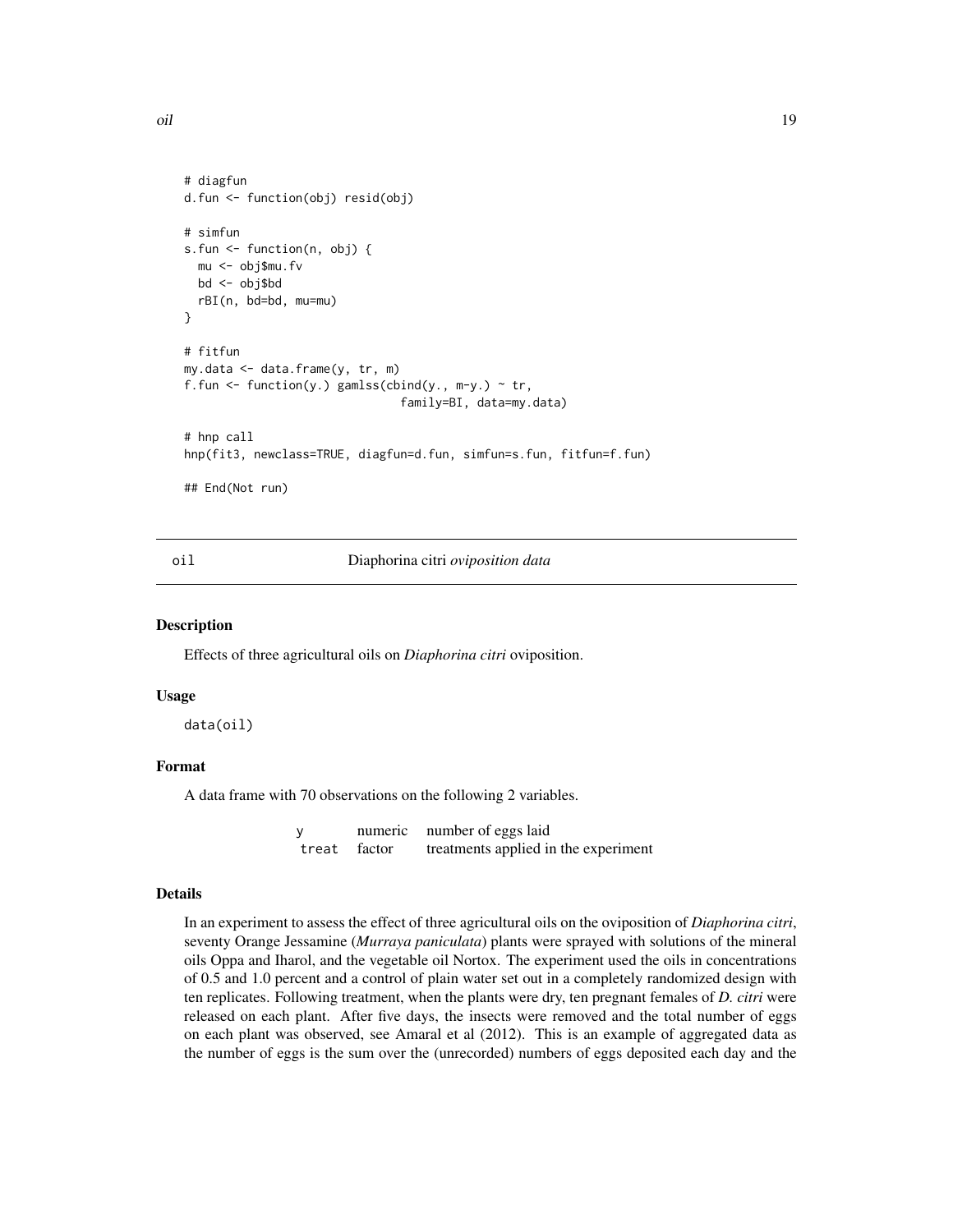<span id="page-18-0"></span>oil and the contract of the contract of the contract of the contract of the contract of the contract of the contract of the contract of the contract of the contract of the contract of the contract of the contract of the co

```
# diagfun
d.fun <- function(obj) resid(obj)
# simfun
s.fun <- function(n, obj) {
 mu <- obj$mu.fv
 bd <- obj$bd
 rBI(n, bd=bd, mu=mu)
}
# fitfun
my.data <- data.frame(y, tr, m)
f.fun <- function(y.) gamlss(cbind(y., m-y.) \sim tr,
                                family=BI, data=my.data)
# hnp call
hnp(fit3, newclass=TRUE, diagfun=d.fun, simfun=s.fun, fitfun=f.fun)
```
## End(Not run)

<span id="page-18-1"></span>

oil Diaphorina citri *oviposition data*

### Description

Effects of three agricultural oils on *Diaphorina citri* oviposition.

### Usage

data(oil)

### Format

A data frame with 70 observations on the following 2 variables.

y numeric number of eggs laid treat factor treatments applied in the experiment

### Details

In an experiment to assess the effect of three agricultural oils on the oviposition of *Diaphorina citri*, seventy Orange Jessamine (*Murraya paniculata*) plants were sprayed with solutions of the mineral oils Oppa and Iharol, and the vegetable oil Nortox. The experiment used the oils in concentrations of 0.5 and 1.0 percent and a control of plain water set out in a completely randomized design with ten replicates. Following treatment, when the plants were dry, ten pregnant females of *D. citri* were released on each plant. After five days, the insects were removed and the total number of eggs on each plant was observed, see Amaral et al (2012). This is an example of aggregated data as the number of eggs is the sum over the (unrecorded) numbers of eggs deposited each day and the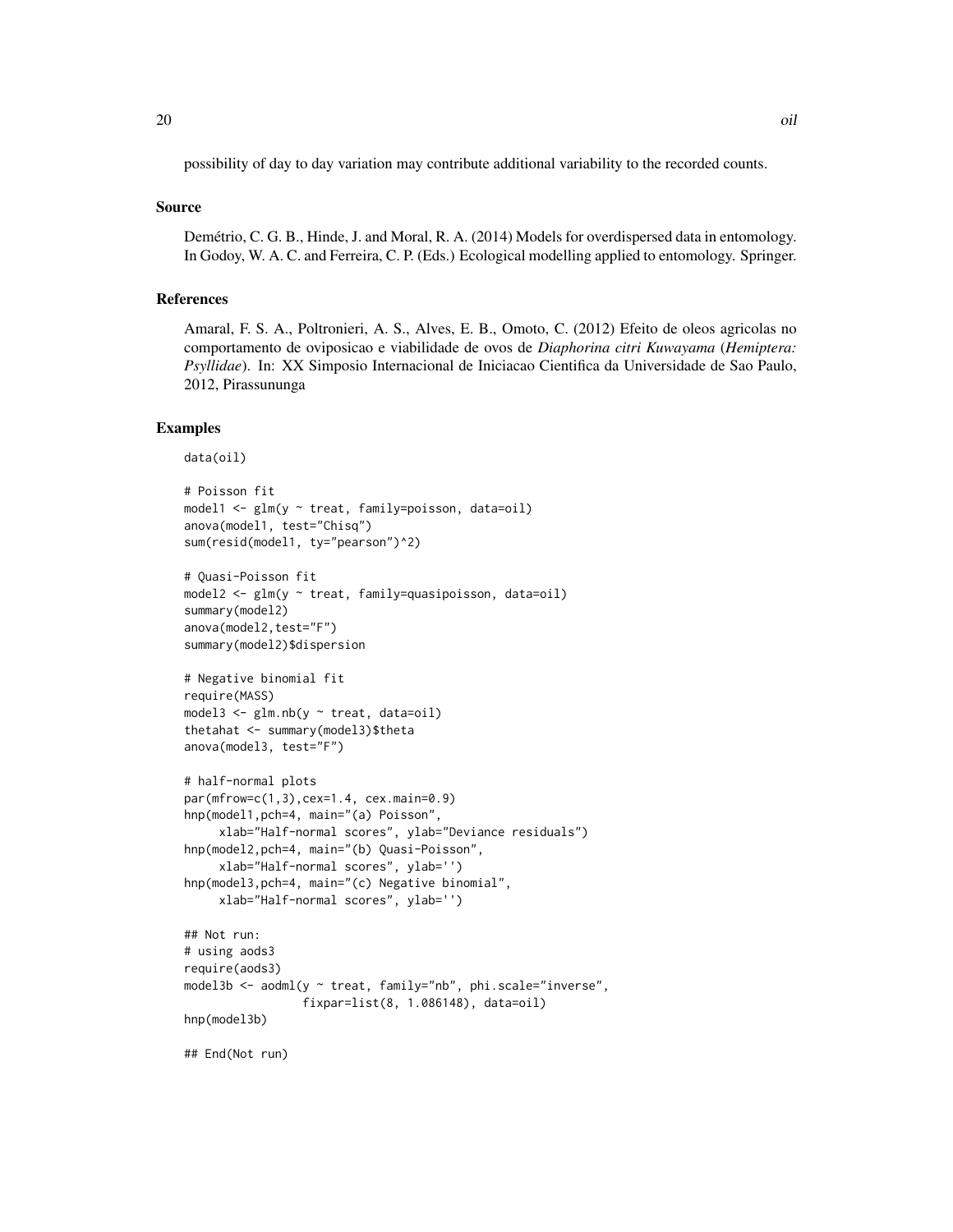possibility of day to day variation may contribute additional variability to the recorded counts.

### Source

Demétrio, C. G. B., Hinde, J. and Moral, R. A. (2014) Models for overdispersed data in entomology. In Godoy, W. A. C. and Ferreira, C. P. (Eds.) Ecological modelling applied to entomology. Springer.

### References

Amaral, F. S. A., Poltronieri, A. S., Alves, E. B., Omoto, C. (2012) Efeito de oleos agricolas no comportamento de oviposicao e viabilidade de ovos de *Diaphorina citri Kuwayama* (*Hemiptera: Psyllidae*). In: XX Simposio Internacional de Iniciacao Cientifica da Universidade de Sao Paulo, 2012, Pirassununga

```
data(oil)
# Poisson fit
model1 \leq glm(y \sim treat, family=poisson, data=oil)
anova(model1, test="Chisq")
sum(resid(model1, ty="pearson")^2)
# Quasi-Poisson fit
model2 <- glm(y ~ treat, family=quasipoisson, data=oil)
summary(model2)
anova(model2,test="F")
summary(model2)$dispersion
# Negative binomial fit
require(MASS)
model3 \leq glm.nb(y \sim treat, data=oil)
thetahat <- summary(model3)$theta
anova(model3, test="F")
# half-normal plots
par(mfrow=c(1,3),cex=1.4, cex.main=0.9)
hnp(model1,pch=4, main="(a) Poisson",
     xlab="Half-normal scores", ylab="Deviance residuals")
hnp(model2,pch=4, main="(b) Quasi-Poisson",
     xlab="Half-normal scores", ylab='')
hnp(model3,pch=4, main="(c) Negative binomial",
     xlab="Half-normal scores", ylab='')
## Not run:
# using aods3
require(aods3)
model3b <- aodml(y ~ treat, family="nb", phi.scale="inverse",
                 fixpar=list(8, 1.086148), data=oil)
hnp(model3b)
## End(Not run)
```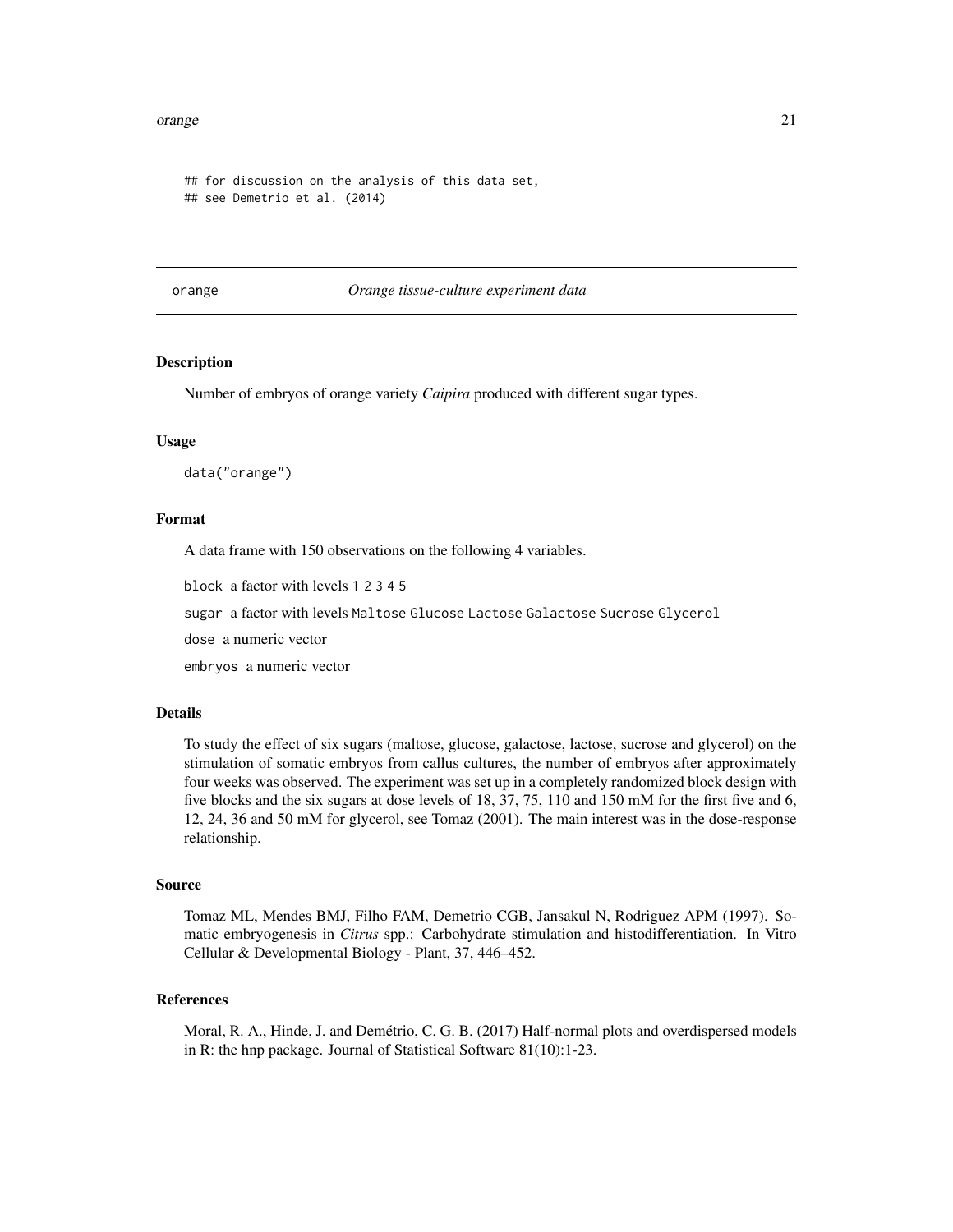#### <span id="page-20-0"></span>orange 21 and 22 and 22 and 22 and 22 and 22 and 22 and 22 and 22 and 22 and 22 and 22 and 22 and 22 and 22 and 22 and 22 and 22 and 22 and 22 and 22 and 22 and 22 and 22 and 22 and 22 and 22 and 22 and 22 and 22 and 22 an

```
## for discussion on the analysis of this data set,
## see Demetrio et al. (2014)
```
orange *Orange tissue-culture experiment data*

### Description

Number of embryos of orange variety *Caipira* produced with different sugar types.

#### Usage

data("orange")

### Format

A data frame with 150 observations on the following 4 variables.

block a factor with levels 1 2 3 4 5

sugar a factor with levels Maltose Glucose Lactose Galactose Sucrose Glycerol

dose a numeric vector

embryos a numeric vector

#### Details

To study the effect of six sugars (maltose, glucose, galactose, lactose, sucrose and glycerol) on the stimulation of somatic embryos from callus cultures, the number of embryos after approximately four weeks was observed. The experiment was set up in a completely randomized block design with five blocks and the six sugars at dose levels of 18, 37, 75, 110 and 150 mM for the first five and 6, 12, 24, 36 and 50 mM for glycerol, see Tomaz (2001). The main interest was in the dose-response relationship.

#### Source

Tomaz ML, Mendes BMJ, Filho FAM, Demetrio CGB, Jansakul N, Rodriguez APM (1997). Somatic embryogenesis in *Citrus* spp.: Carbohydrate stimulation and histodifferentiation. In Vitro Cellular & Developmental Biology - Plant, 37, 446–452.

### References

Moral, R. A., Hinde, J. and Demétrio, C. G. B. (2017) Half-normal plots and overdispersed models in R: the hnp package. Journal of Statistical Software 81(10):1-23.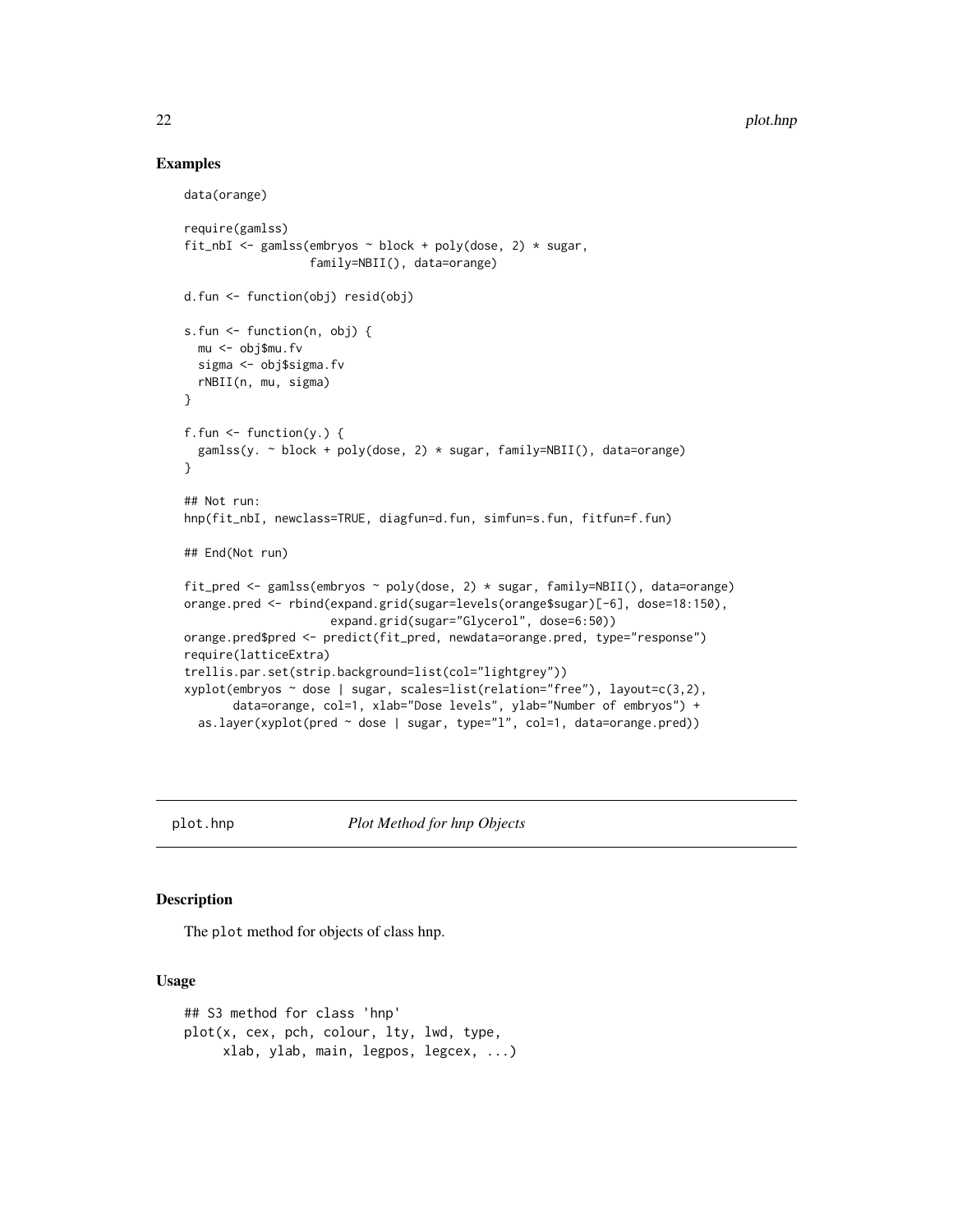### Examples

```
data(orange)
require(gamlss)
fit_nbI <- gamlss(embryos \sim block + poly(dose, 2) \star sugar,
                  family=NBII(), data=orange)
d.fun <- function(obj) resid(obj)
s.fun <- function(n, obj) {
  mu <- obj$mu.fv
  sigma <- obj$sigma.fv
  rNBII(n, mu, sigma)
}
f.fun \leq function(y.) {
  gamlss(y. \sim block + poly(dose, 2) * sugar, family=NBII(), data=orange)
}
## Not run:
hnp(fit_nbI, newclass=TRUE, diagfun=d.fun, simfun=s.fun, fitfun=f.fun)
## End(Not run)
fit_pred <- gamlss(embryos ~ poly(dose, 2) * sugar, family=NBII(), data=orange)
orange.pred <- rbind(expand.grid(sugar=levels(orange$sugar)[-6], dose=18:150),
                     expand.grid(sugar="Glycerol", dose=6:50))
orange.pred$pred <- predict(fit_pred, newdata=orange.pred, type="response")
require(latticeExtra)
trellis.par.set(strip.background=list(col="lightgrey"))
xyplot(embryos ~ dose | sugar, scales=list(relation="free"), layout=c(3,2),
       data=orange, col=1, xlab="Dose levels", ylab="Number of embryos") +
  as.layer(xyplot(pred ~ dose | sugar, type="l", col=1, data=orange.pred))
```
<span id="page-21-1"></span>

plot.hnp *Plot Method for hnp Objects*

### Description

The plot method for objects of class hnp.

#### Usage

## S3 method for class 'hnp' plot(x, cex, pch, colour, lty, lwd, type, xlab, ylab, main, legpos, legcex, ...)

<span id="page-21-0"></span>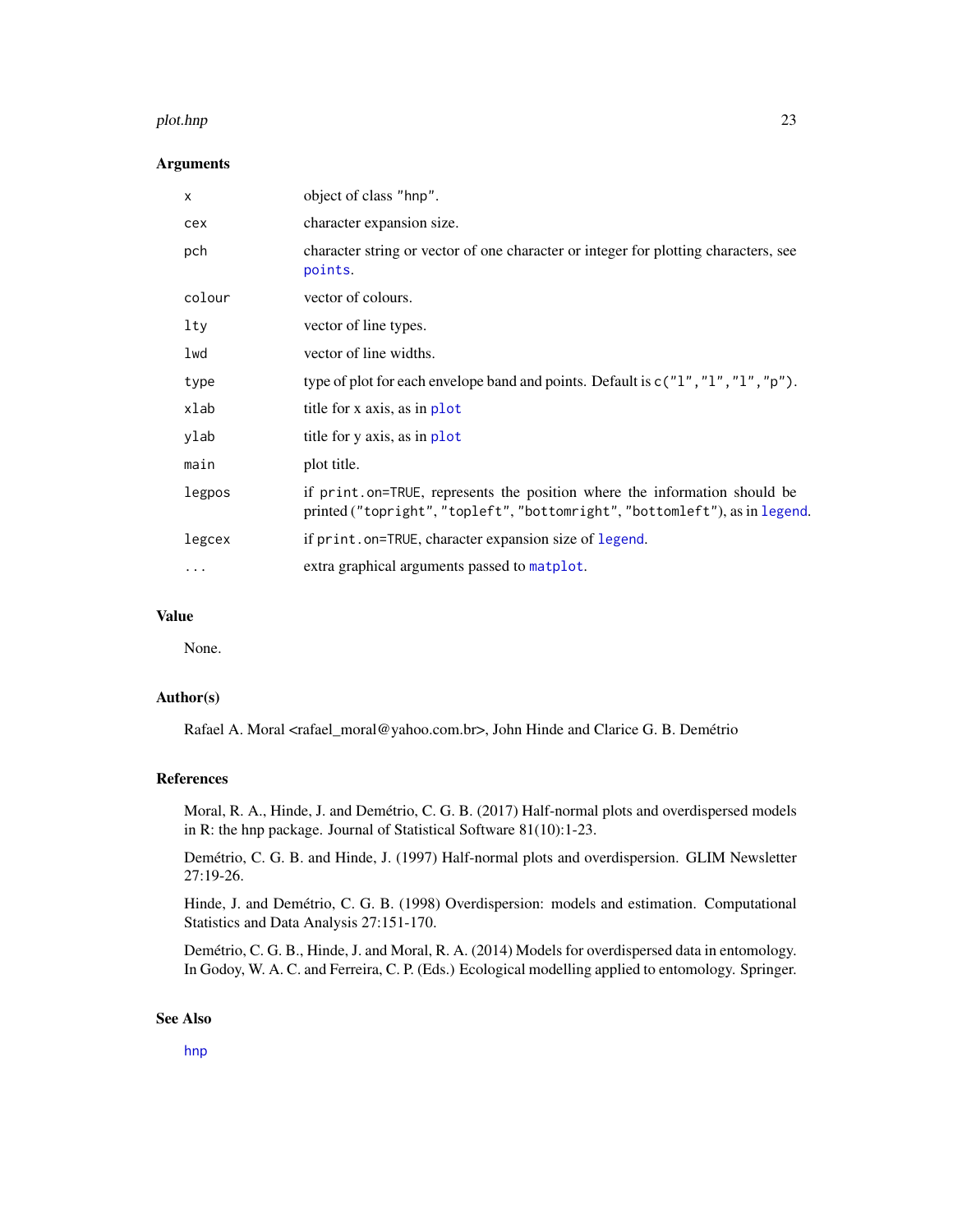#### <span id="page-22-0"></span>plot.hnp 23

### Arguments

| X        | object of class "hnp".                                                                                                                                   |  |
|----------|----------------------------------------------------------------------------------------------------------------------------------------------------------|--|
| cex      | character expansion size.                                                                                                                                |  |
| pch      | character string or vector of one character or integer for plotting characters, see<br>points.                                                           |  |
| colour   | vector of colours.                                                                                                                                       |  |
| lty      | vector of line types.                                                                                                                                    |  |
| lwd      | vector of line widths.                                                                                                                                   |  |
| type     | type of plot for each envelope band and points. Default is $c("1", "1", "1", "p").$                                                                      |  |
| xlab     | title for x axis, as in plot                                                                                                                             |  |
| ylab     | title for y axis, as in plot                                                                                                                             |  |
| main     | plot title.                                                                                                                                              |  |
| legpos   | if print.on=TRUE, represents the position where the information should be<br>printed ("topright", "topleft", "bottomright", "bottomleft"), as in legend. |  |
| legcex   | if print.on=TRUE, character expansion size of legend.                                                                                                    |  |
| $\cdots$ | extra graphical arguments passed to matplot.                                                                                                             |  |

### Value

None.

### Author(s)

Rafael A. Moral <rafael\_moral@yahoo.com.br>, John Hinde and Clarice G. B. Demétrio

### References

Moral, R. A., Hinde, J. and Demétrio, C. G. B. (2017) Half-normal plots and overdispersed models in R: the hnp package. Journal of Statistical Software 81(10):1-23.

Demétrio, C. G. B. and Hinde, J. (1997) Half-normal plots and overdispersion. GLIM Newsletter 27:19-26.

Hinde, J. and Demétrio, C. G. B. (1998) Overdispersion: models and estimation. Computational Statistics and Data Analysis 27:151-170.

Demétrio, C. G. B., Hinde, J. and Moral, R. A. (2014) Models for overdispersed data in entomology. In Godoy, W. A. C. and Ferreira, C. P. (Eds.) Ecological modelling applied to entomology. Springer.

### See Also

[hnp](#page-8-1)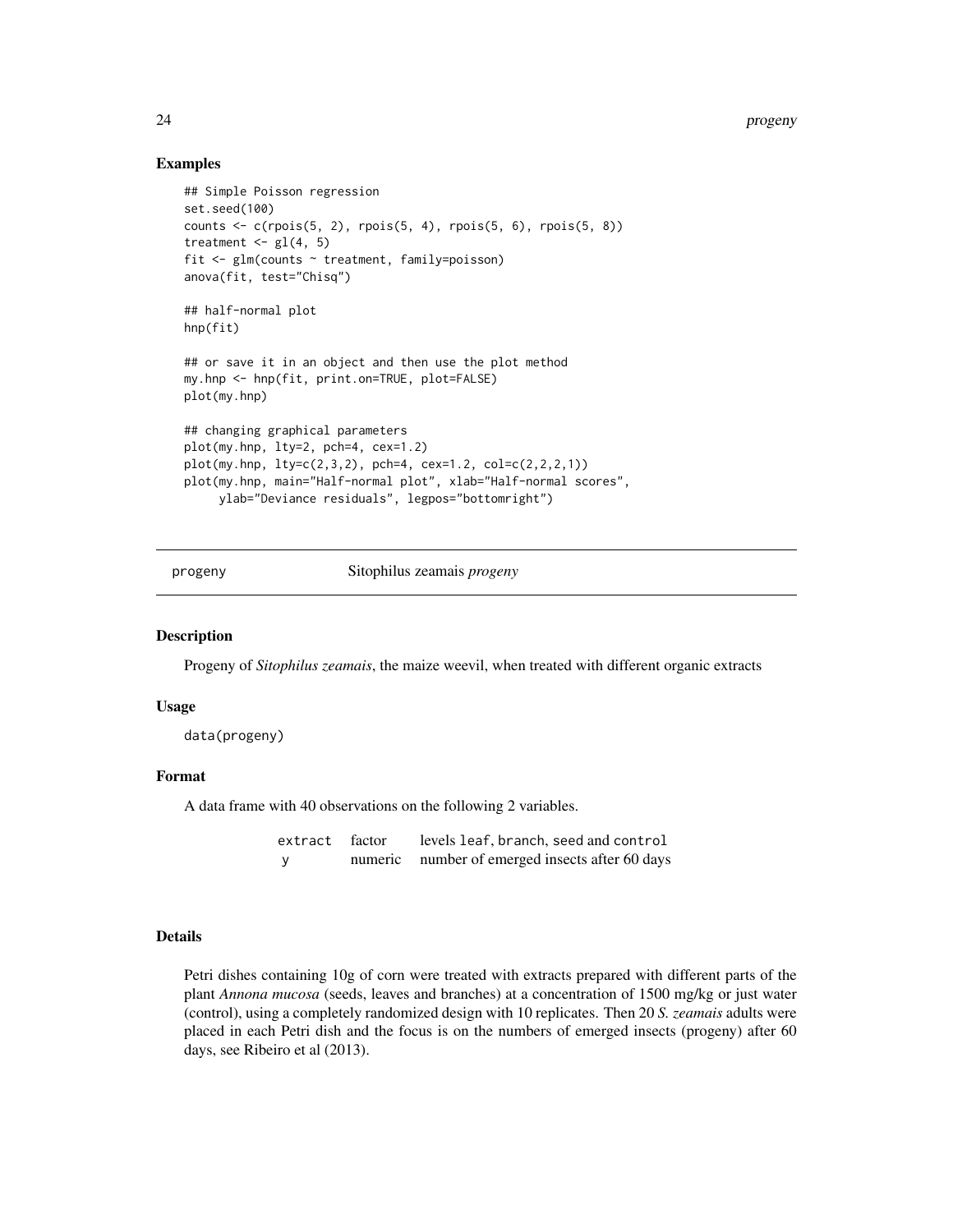### Examples

```
## Simple Poisson regression
set.seed(100)
counts <- c(rpois(5, 2), rpois(5, 4), rpois(5, 6), rpois(5, 8))
treatment \leq gl(4, 5)
fit <- glm(counts ~ treatment, family=poisson)
anova(fit, test="Chisq")
## half-normal plot
hnp(fit)
## or save it in an object and then use the plot method
my.hnp <- hnp(fit, print.on=TRUE, plot=FALSE)
plot(my.hnp)
## changing graphical parameters
plot(my.hnp, lty=2, pch=4, cex=1.2)
plot(my.hnp, lty=c(2,3,2), pch=4, cex=1.2, col=c(2,2,2,1))plot(my.hnp, main="Half-normal plot", xlab="Half-normal scores",
     ylab="Deviance residuals", legpos="bottomright")
```
<span id="page-23-1"></span>progeny Sitophilus zeamais *progeny*

#### Description

Progeny of *Sitophilus zeamais*, the maize weevil, when treated with different organic extracts

### Usage

data(progeny)

### Format

A data frame with 40 observations on the following 2 variables.

| extract factor |         | levels leaf, branch, seed and control   |
|----------------|---------|-----------------------------------------|
|                | numeric | number of emerged insects after 60 days |

#### Details

Petri dishes containing 10g of corn were treated with extracts prepared with different parts of the plant *Annona mucosa* (seeds, leaves and branches) at a concentration of 1500 mg/kg or just water (control), using a completely randomized design with 10 replicates. Then 20 *S. zeamais* adults were placed in each Petri dish and the focus is on the numbers of emerged insects (progeny) after 60 days, see Ribeiro et al (2013).

<span id="page-23-0"></span>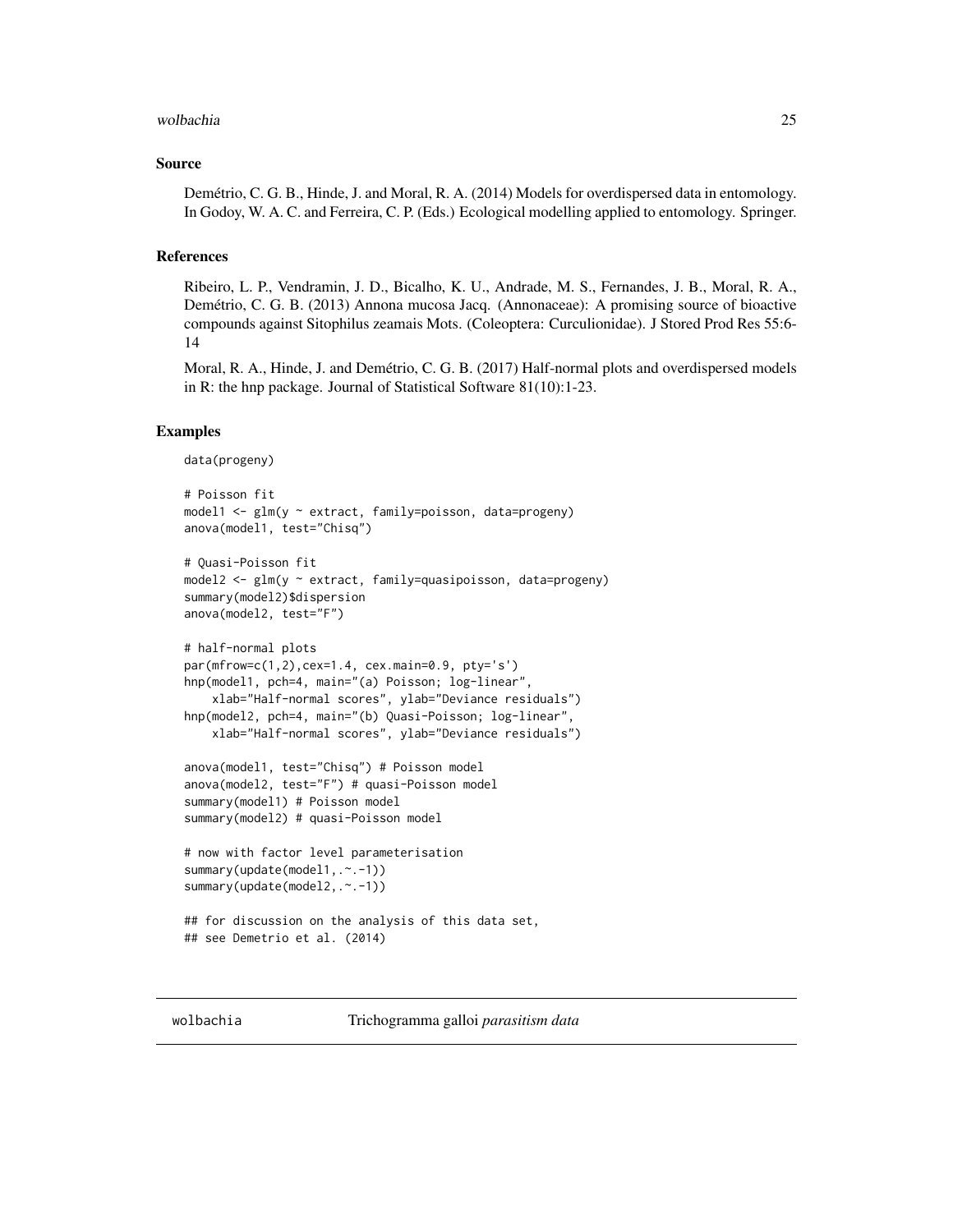#### <span id="page-24-0"></span>wolbachia 25

### Source

Demétrio, C. G. B., Hinde, J. and Moral, R. A. (2014) Models for overdispersed data in entomology. In Godoy, W. A. C. and Ferreira, C. P. (Eds.) Ecological modelling applied to entomology. Springer.

### References

Ribeiro, L. P., Vendramin, J. D., Bicalho, K. U., Andrade, M. S., Fernandes, J. B., Moral, R. A., Demétrio, C. G. B. (2013) Annona mucosa Jacq. (Annonaceae): A promising source of bioactive compounds against Sitophilus zeamais Mots. (Coleoptera: Curculionidae). J Stored Prod Res 55:6- 14

Moral, R. A., Hinde, J. and Demétrio, C. G. B. (2017) Half-normal plots and overdispersed models in R: the hnp package. Journal of Statistical Software 81(10):1-23.

```
data(progeny)
# Poisson fit
model1 <- glm(y ~ extract, family=poisson, data=progeny)
anova(model1, test="Chisq")
# Quasi-Poisson fit
model2 <- glm(y ~ extract, family=quasipoisson, data=progeny)
summary(model2)$dispersion
anova(model2, test="F")
# half-normal plots
par(mfrow=c(1,2),cex=1.4, cex.main=0.9, pty='s')
hnp(model1, pch=4, main="(a) Poisson; log-linear",
    xlab="Half-normal scores", ylab="Deviance residuals")
hnp(model2, pch=4, main="(b) Quasi-Poisson; log-linear",
    xlab="Half-normal scores", ylab="Deviance residuals")
anova(model1, test="Chisq") # Poisson model
anova(model2, test="F") # quasi-Poisson model
summary(model1) # Poisson model
summary(model2) # quasi-Poisson model
# now with factor level parameterisation
summary(update(model1,.~.-1))
summary(update(model2,.~.-1))
## for discussion on the analysis of this data set,
## see Demetrio et al. (2014)
```
<span id="page-24-1"></span>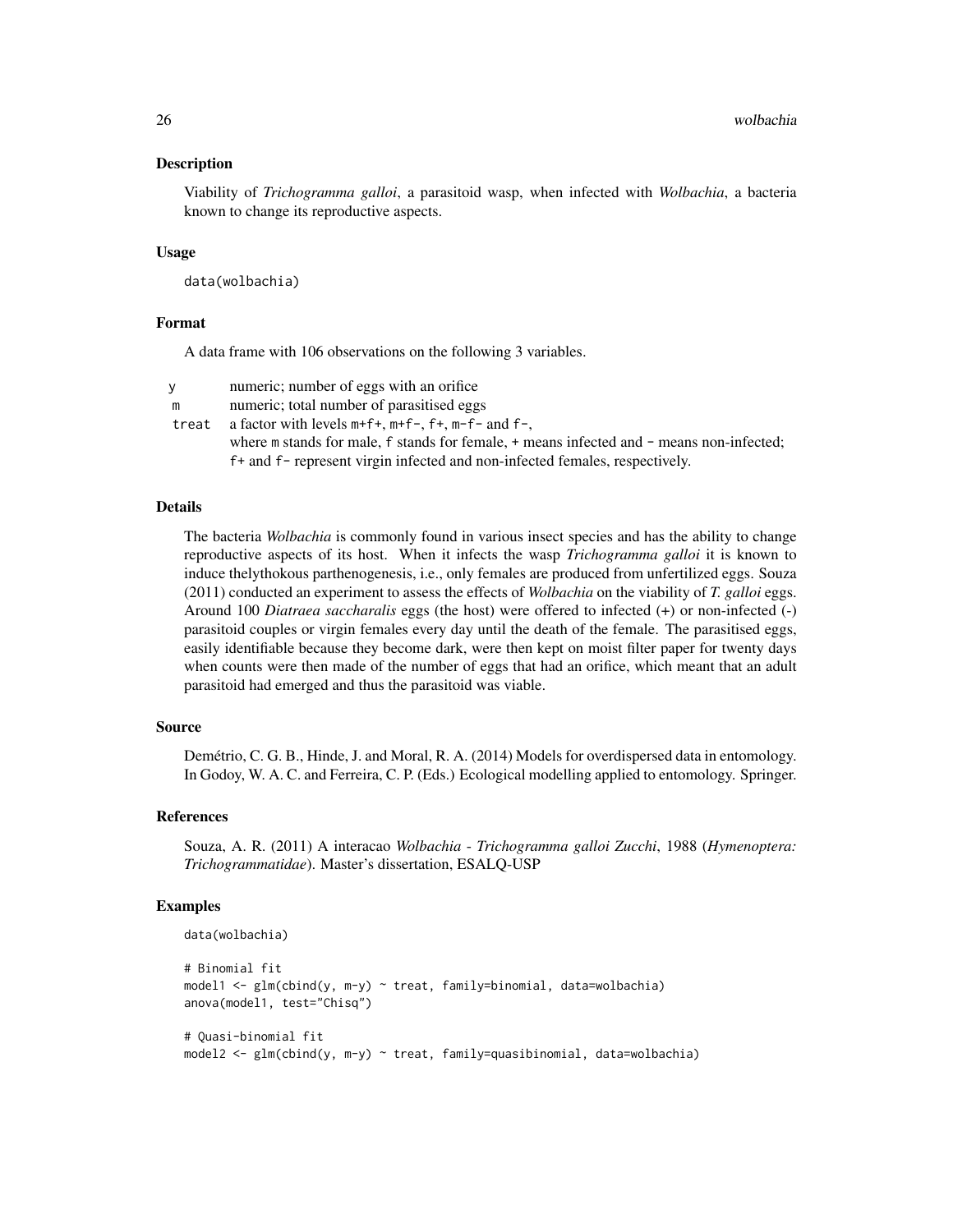### Description

Viability of *Trichogramma galloi*, a parasitoid wasp, when infected with *Wolbachia*, a bacteria known to change its reproductive aspects.

#### Usage

data(wolbachia)

### Format

A data frame with 106 observations on the following 3 variables.

| <b>V</b> | numeric; number of eggs with an orifice                                                      |
|----------|----------------------------------------------------------------------------------------------|
| m        | numeric; total number of parasitised eggs                                                    |
| treat    | a factor with levels $m+f+$ , $m+f-$ , $f+$ , $m-f-$ and $f-$ ,                              |
|          | where m stands for male, f stands for female, $+$ means infected and $-$ means non-infected; |
|          | f+ and f- represent virgin infected and non-infected females, respectively.                  |

### Details

The bacteria *Wolbachia* is commonly found in various insect species and has the ability to change reproductive aspects of its host. When it infects the wasp *Trichogramma galloi* it is known to induce thelythokous parthenogenesis, i.e., only females are produced from unfertilized eggs. Souza (2011) conducted an experiment to assess the effects of *Wolbachia* on the viability of *T. galloi* eggs. Around 100 *Diatraea saccharalis* eggs (the host) were offered to infected (+) or non-infected (-) parasitoid couples or virgin females every day until the death of the female. The parasitised eggs, easily identifiable because they become dark, were then kept on moist filter paper for twenty days when counts were then made of the number of eggs that had an orifice, which meant that an adult parasitoid had emerged and thus the parasitoid was viable.

### Source

Demétrio, C. G. B., Hinde, J. and Moral, R. A. (2014) Models for overdispersed data in entomology. In Godoy, W. A. C. and Ferreira, C. P. (Eds.) Ecological modelling applied to entomology. Springer.

#### References

Souza, A. R. (2011) A interacao *Wolbachia* - *Trichogramma galloi Zucchi*, 1988 (*Hymenoptera: Trichogrammatidae*). Master's dissertation, ESALQ-USP

```
data(wolbachia)
# Binomial fit
model1 <- glm(cbind(y, m-y) ~ treat, family=binomial, data=wolbachia)
anova(model1, test="Chisq")
# Quasi-binomial fit
model2 <- glm(cbind(y, m-y) ~ treat, family=quasibinomial, data=wolbachia)
```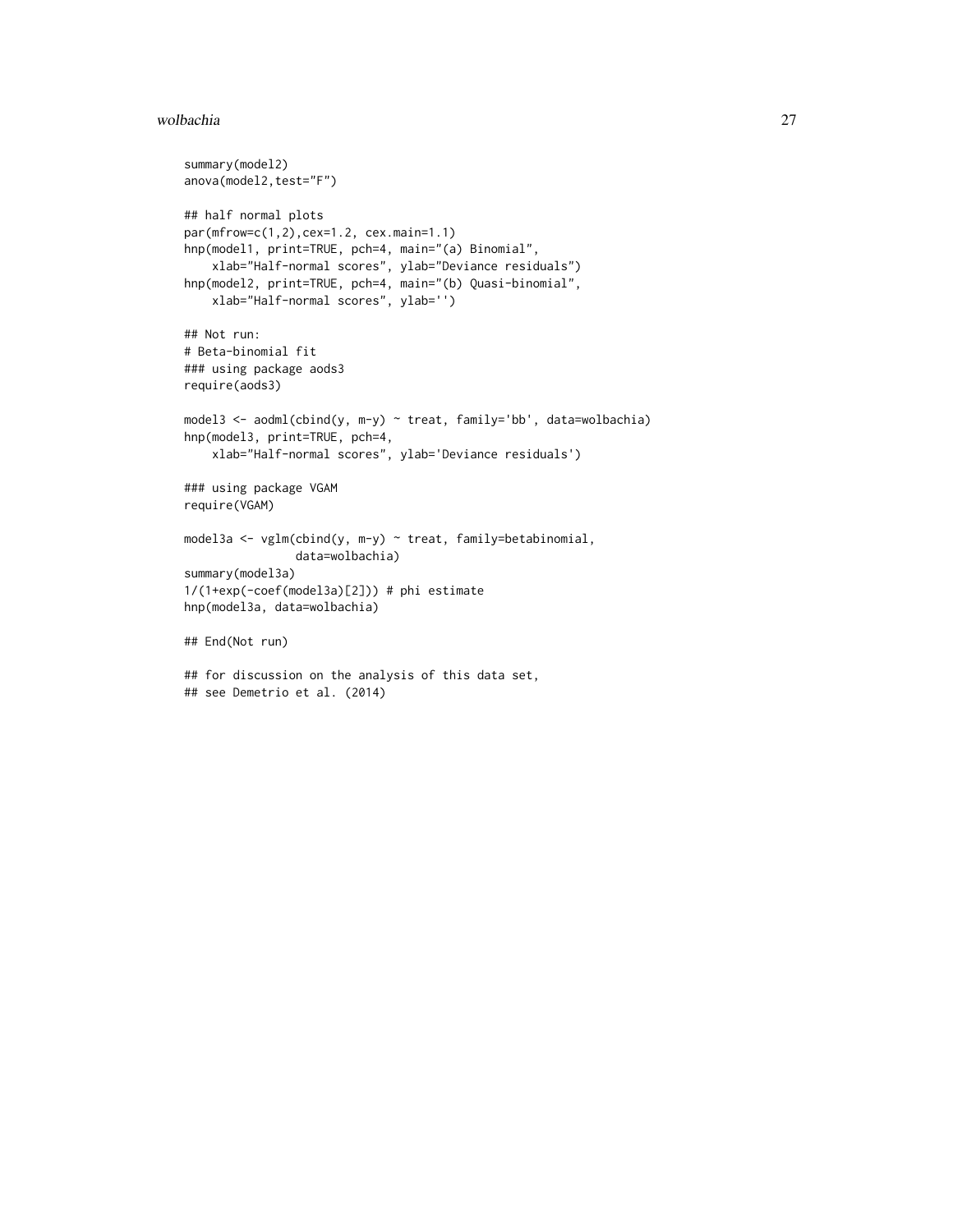#### wolbachia 27

```
summary(model2)
anova(model2,test="F")
## half normal plots
par(mfrow=c(1,2),cex=1.2, cex.main=1.1)
hnp(model1, print=TRUE, pch=4, main="(a) Binomial",
    xlab="Half-normal scores", ylab="Deviance residuals")
hnp(model2, print=TRUE, pch=4, main="(b) Quasi-binomial",
   xlab="Half-normal scores", ylab='')
## Not run:
# Beta-binomial fit
### using package aods3
require(aods3)
model3 <- aodml(cbind(y, m-y) ~ treat, family='bb', data=wolbachia)
hnp(model3, print=TRUE, pch=4,
    xlab="Half-normal scores", ylab='Deviance residuals')
### using package VGAM
require(VGAM)
model3a <- vglm(cbind(y, m-y) ~ treat, family=betabinomial,
                data=wolbachia)
summary(model3a)
1/(1+exp(-coef(model3a)[2])) # phi estimate
hnp(model3a, data=wolbachia)
## End(Not run)
## for discussion on the analysis of this data set,
## see Demetrio et al. (2014)
```